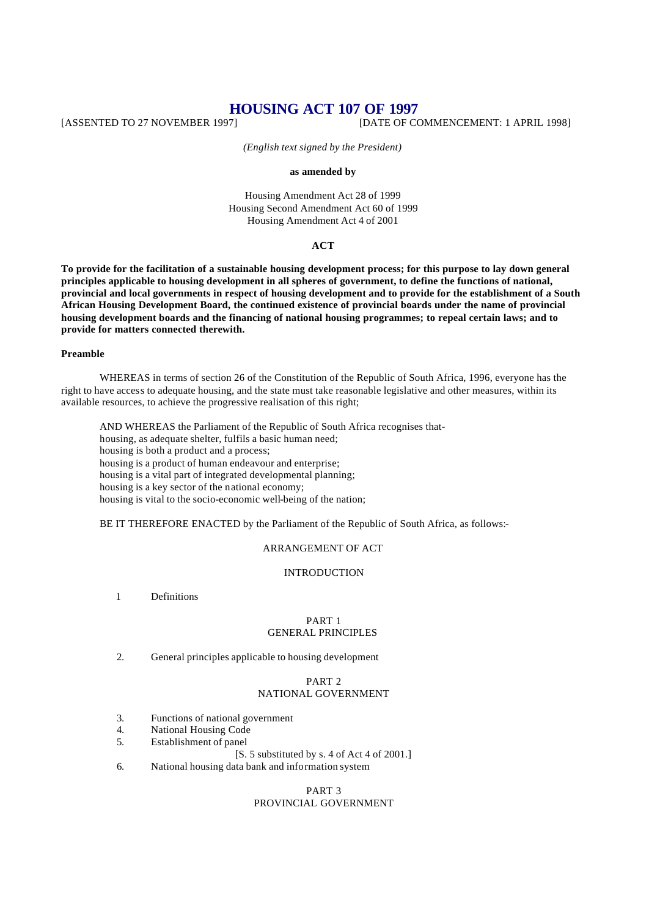# **HOUSING ACT 107 OF 1997**<br>[DATE DTO 27 NOVEMBER 1997] [DATE OF CO

[DATE OF COMMENCEMENT: 1 APRIL 1998]

*(English text signed by the President)*

#### **as amended by**

Housing Amendment Act 28 of 1999 Housing Second Amendment Act 60 of 1999 Housing Amendment Act 4 of 2001

## **ACT**

**To provide for the facilitation of a sustainable housing development process; for this purpose to lay down general principles applicable to housing development in all spheres of government, to define the functions of national, provincial and local governments in respect of housing development and to provide for the establishment of a South African Housing Development Board, the continued existence of provincial boards under the name of provincial housing development boards and the financing of national housing programmes; to repeal certain laws; and to provide for matters connected therewith.**

#### **Preamble**

WHEREAS in terms of section 26 of the Constitution of the Republic of South Africa, 1996, everyone has the right to have access to adequate housing, and the state must take reasonable legislative and other measures, within its available resources, to achieve the progressive realisation of this right;

AND WHEREAS the Parliament of the Republic of South Africa recognises thathousing, as adequate shelter, fulfils a basic human need; housing is both a product and a process; housing is a product of human endeavour and enterprise; housing is a vital part of integrated developmental planning; housing is a key sector of the national economy; housing is vital to the socio-economic well-being of the nation;

BE IT THEREFORE ENACTED by the Parliament of the Republic of South Africa, as follows:-

## ARRANGEMENT OF ACT

## INTRODUCTION

1 Definitions

#### PART 1 GENERAL PRINCIPLES

2. General principles applicable to housing development

## PART 2 NATIONAL GOVERNMENT

- 3. Functions of national government
- 4. National Housing Code
- 5. Establishment of panel
	- [S. 5 substituted by s. 4 of Act 4 of 2001.]
- 6. National housing data bank and information system

## PART 3

# PROVINCIAL GOVERNMENT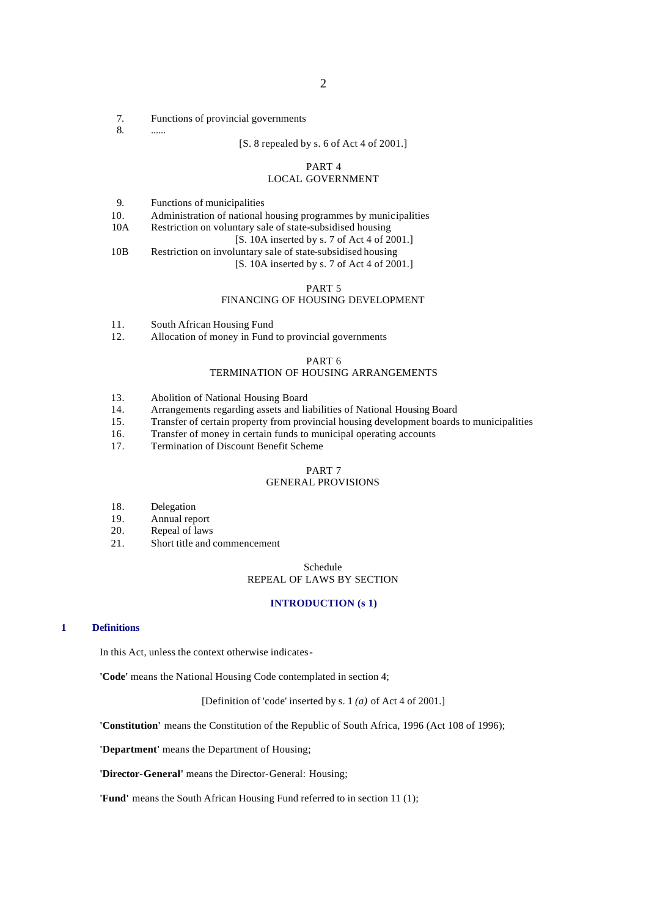- 7. Functions of provincial governments
- 8. ......

#### [S. 8 repealed by s. 6 of Act 4 of 2001.]

## PART 4

## LOCAL GOVERNMENT

10. Administration of national housing programmes by municipalities<br>10A Restriction on voluntary sale of state-subsidised housing

- Restriction on voluntary sale of state-subsidised housing
	- [S. 10A inserted by s. 7 of Act 4 of 2001.]
- 10B Restriction on involuntary sale of state-subsidised housing

## [S. 10A inserted by s. 7 of Act 4 of 2001.]

## PART 5

## FINANCING OF HOUSING DEVELOPMENT

- 11. South African Housing Fund
- 12. Allocation of money in Fund to provincial governments

#### PART 6

#### TERMINATION OF HOUSING ARRANGEMENTS

- 13. Abolition of National Housing Board<br>14. Arrangements regarding assets and list
- Arrangements regarding assets and liabilities of National Housing Board
- 15. Transfer of certain property from provincial housing development boards to municipalities
- 16. Transfer of money in certain funds to municipal operating accounts
- 17. Termination of Discount Benefit Scheme

## PART 7

## GENERAL PROVISIONS

- 18. Delegation
- 19. Annual report<br>20. Repeal of laws
- Repeal of laws
- 21. Short title and commencement

## Schedule REPEAL OF LAWS BY SECTION

#### **INTRODUCTION (s 1)**

#### **1 Definitions**

In this Act, unless the context otherwise indicates-

**'Code'** means the National Housing Code contemplated in section 4;

[Definition of 'code' inserted by s. 1 *(a)* of Act 4 of 2001.]

**'Constitution'** means the Constitution of the Republic of South Africa, 1996 (Act 108 of 1996);

**'Department'** means the Department of Housing;

**'Director-General'** means the Director-General: Housing;

**'Fund'** means the South African Housing Fund referred to in section 11 (1);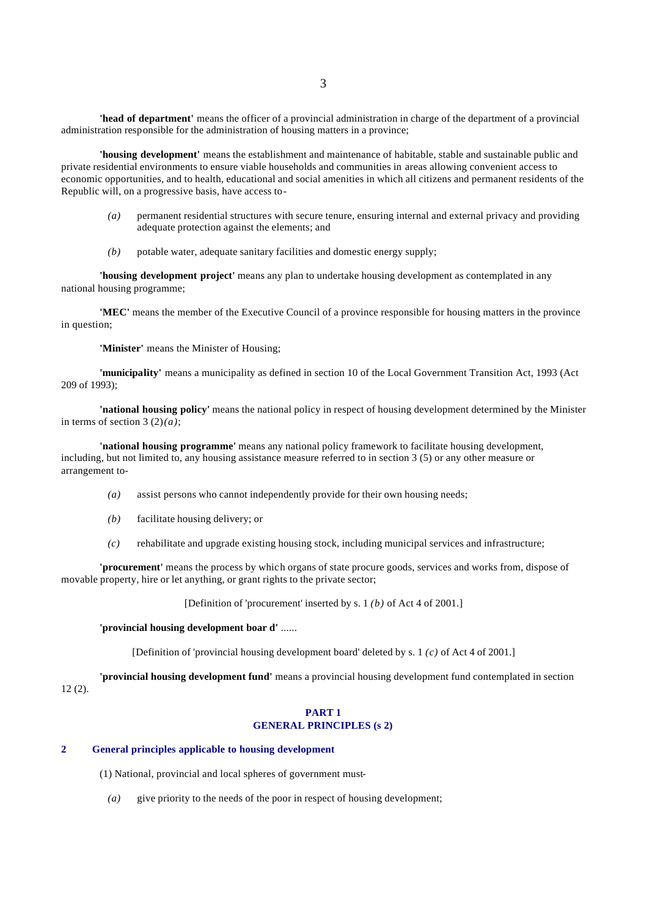**'head of department'** means the officer of a provincial administration in charge of the department of a provincial administration responsible for the administration of housing matters in a province;

**'housing development'** means the establishment and maintenance of habitable, stable and sustainable public and private residential environments to ensure viable households and communities in areas allowing convenient access to economic opportunities, and to health, educational and social amenities in which all citizens and permanent residents of the Republic will, on a progressive basis, have access to-

- *(a)* permanent residential structures with secure tenure, ensuring internal and external privacy and providing adequate protection against the elements; and
- *(b)* potable water, adequate sanitary facilities and domestic energy supply;

**'housing development project'** means any plan to undertake housing development as contemplated in any national housing programme;

**'MEC'** means the member of the Executive Council of a province responsible for housing matters in the province in question;

**'Minister'** means the Minister of Housing;

**'municipality'** means a municipality as defined in section 10 of the Local Government Transition Act, 1993 (Act 209 of 1993);

**'national housing policy'** means the national policy in respect of housing development determined by the Minister in terms of section  $3(2)(a)$ ;

**'national housing programme'** means any national policy framework to facilitate housing development, including, but not limited to, any housing assistance measure referred to in section 3 (5) or any other measure or arrangement to-

- *(a)* assist persons who cannot independently provide for their own housing needs;
- *(b)* facilitate housing delivery; or
- *(c)* rehabilitate and upgrade existing housing stock, including municipal services and infrastructure;

**'procurement'** means the process by which organs of state procure goods, services and works from, dispose of movable property, hire or let anything, or grant rights to the private sector;

[Definition of 'procurement' inserted by s. 1 *(b)* of Act 4 of 2001.]

#### **'provincial housing development boar d'** ......

[Definition of 'provincial housing development board' deleted by s. 1 *(c)* of Act 4 of 2001.]

**'provincial housing development fund'** means a provincial housing development fund contemplated in section  $12(2)$ .

## **PART 1 GENERAL PRINCIPLES (s 2)**

## **2 General principles applicable to housing development**

(1) National, provincial and local spheres of government must-

*(a)* give priority to the needs of the poor in respect of housing development;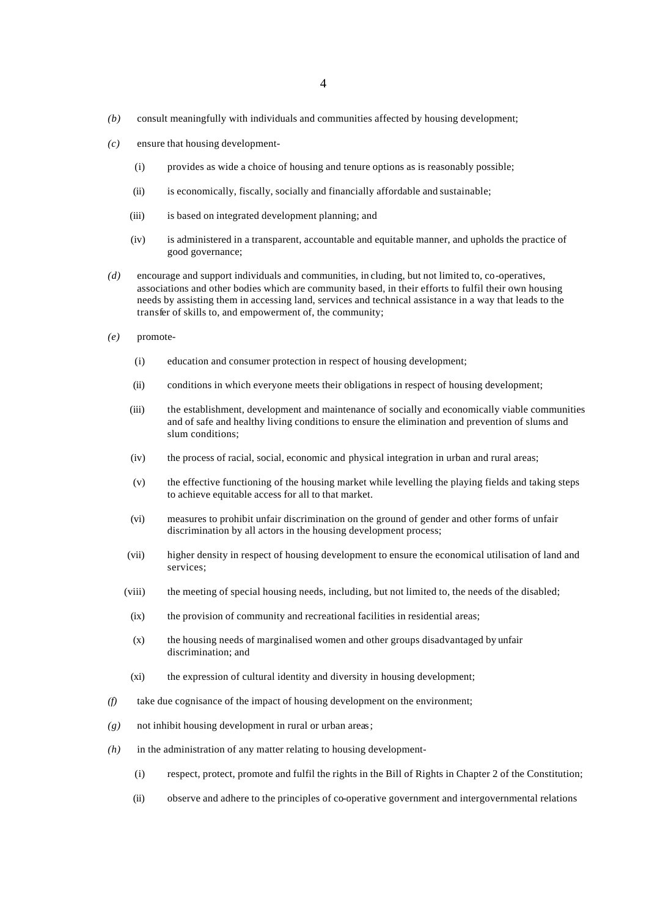- *(b)* consult meaningfully with individuals and communities affected by housing development;
- *(c)* ensure that housing development-
	- (i) provides as wide a choice of housing and tenure options as is reasonably possible;
	- (ii) is economically, fiscally, socially and financially affordable and sustainable;
	- (iii) is based on integrated development planning; and
	- (iv) is administered in a transparent, accountable and equitable manner, and upholds the practice of good governance;
- *(d)* encourage and support individuals and communities, in cluding, but not limited to, co-operatives, associations and other bodies which are community based, in their efforts to fulfil their own housing needs by assisting them in accessing land, services and technical assistance in a way that leads to the transfer of skills to, and empowerment of, the community;
- *(e)* promote-
	- (i) education and consumer protection in respect of housing development;
	- (ii) conditions in which everyone meets their obligations in respect of housing development;
	- (iii) the establishment, development and maintenance of socially and economically viable communities and of safe and healthy living conditions to ensure the elimination and prevention of slums and slum conditions;
	- (iv) the process of racial, social, economic and physical integration in urban and rural areas;
	- (v) the effective functioning of the housing market while levelling the playing fields and taking steps to achieve equitable access for all to that market.
	- (vi) measures to prohibit unfair discrimination on the ground of gender and other forms of unfair discrimination by all actors in the housing development process;
	- (vii) higher density in respect of housing development to ensure the economical utilisation of land and services;
	- (viii) the meeting of special housing needs, including, but not limited to, the needs of the disabled;
	- (ix) the provision of community and recreational facilities in residential areas;
	- (x) the housing needs of marginalised women and other groups disadvantaged by unfair discrimination; and
	- (xi) the expression of cultural identity and diversity in housing development;
- *(f)* take due cognisance of the impact of housing development on the environment;
- *(g)* not inhibit housing development in rural or urban areas;
- *(h)* in the administration of any matter relating to housing development-
	- (i) respect, protect, promote and fulfil the rights in the Bill of Rights in Chapter 2 of the Constitution;
	- (ii) observe and adhere to the principles of co-operative government and intergovernmental relations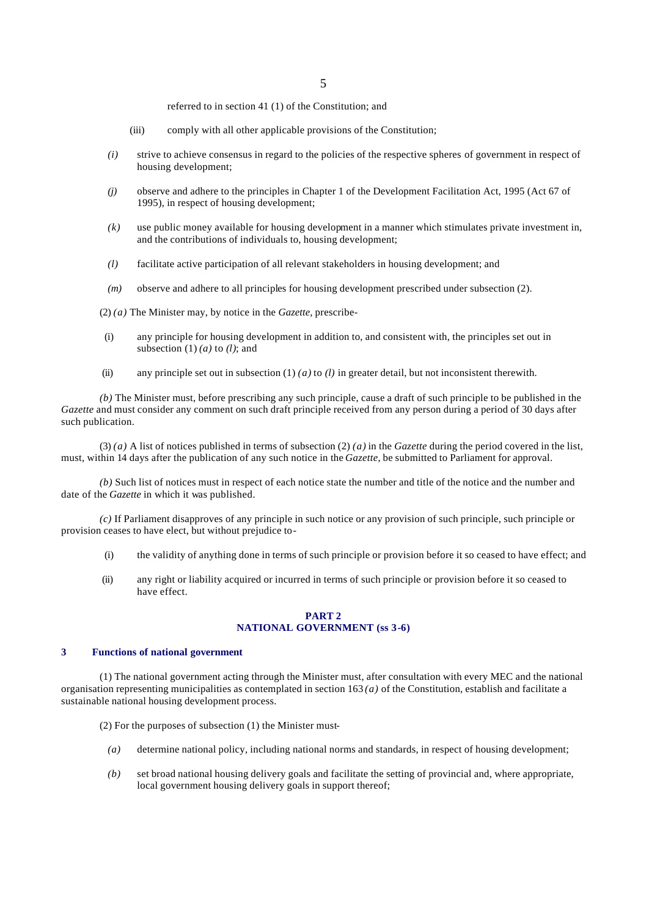referred to in section 41 (1) of the Constitution; and

- (iii) comply with all other applicable provisions of the Constitution;
- *(i)* strive to achieve consensus in regard to the policies of the respective spheres of government in respect of housing development;
- *(j)* observe and adhere to the principles in Chapter 1 of the Development Facilitation Act, 1995 (Act 67 of 1995), in respect of housing development;
- *(k)* use public money available for housing development in a manner which stimulates private investment in, and the contributions of individuals to, housing development;
- *(l)* facilitate active participation of all relevant stakeholders in housing development; and
- *(m)* observe and adhere to all principles for housing development prescribed under subsection (2).

(2) *(a)* The Minister may, by notice in the *Gazette,* prescribe-

- (i) any principle for housing development in addition to, and consistent with, the principles set out in subsection  $(1)$   $(a)$  to  $(l)$ ; and
- (ii) any principle set out in subsection (1) *(a)* to *(l)* in greater detail, but not inconsistent therewith.

*(b)* The Minister must, before prescribing any such principle, cause a draft of such principle to be published in the *Gazette* and must consider any comment on such draft principle received from any person during a period of 30 days after such publication.

(3) *(a)* A list of notices published in terms of subsection (2) *(a)* in the *Gazette* during the period covered in the list, must, within 14 days after the publication of any such notice in the *Gazette*, be submitted to Parliament for approval.

*(b)* Such list of notices must in respect of each notice state the number and title of the notice and the number and date of the *Gazette* in which it was published.

*(c)* If Parliament disapproves of any principle in such notice or any provision of such principle, such principle or provision ceases to have elect, but without prejudice to-

- (i) the validity of anything done in terms of such principle or provision before it so ceased to have effect; and
- (ii) any right or liability acquired or incurred in terms of such principle or provision before it so ceased to have effect.

#### **PART 2 NATIONAL GOVERNMENT (ss 3-6)**

#### **3 Functions of national government**

(1) The national government acting through the Minister must, after consultation with every MEC and the national organisation representing municipalities as contemplated in section 163 *(a)* of the Constitution, establish and facilitate a sustainable national housing development process.

(2) For the purposes of subsection (1) the Minister must-

- *(a)* determine national policy, including national norms and standards, in respect of housing development;
- *(b)* set broad national housing delivery goals and facilitate the setting of provincial and, where appropriate, local government housing delivery goals in support thereof;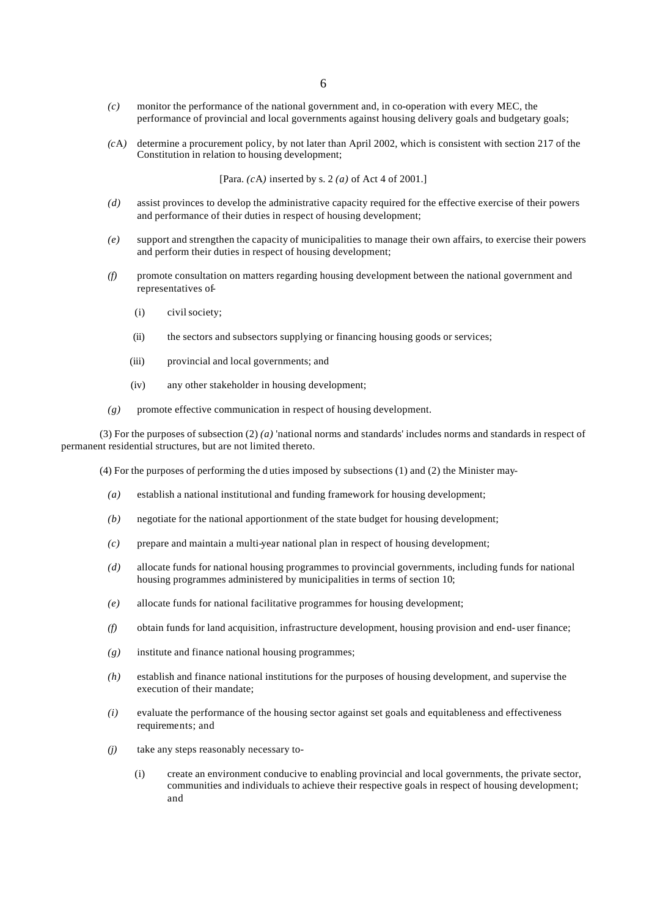- *(c)* monitor the performance of the national government and, in co-operation with every MEC, the performance of provincial and local governments against housing delivery goals and budgetary goals;
- *(c*A*)* determine a procurement policy, by not later than April 2002, which is consistent with section 217 of the Constitution in relation to housing development;

[Para. *(c*A*)* inserted by s. 2 *(a)* of Act 4 of 2001.]

- *(d)* assist provinces to develop the administrative capacity required for the effective exercise of their powers and performance of their duties in respect of housing development;
- *(e)* support and strengthen the capacity of municipalities to manage their own affairs, to exercise their powers and perform their duties in respect of housing development;
- *(f)* promote consultation on matters regarding housing development between the national government and representatives of-
	- (i) civil society;
	- (ii) the sectors and subsectors supplying or financing housing goods or services;
	- (iii) provincial and local governments; and
	- (iv) any other stakeholder in housing development;
- *(g)* promote effective communication in respect of housing development.

(3) For the purposes of subsection  $(2)$  *(a)* 'national norms and standards' includes norms and standards in respect of permanent residential structures, but are not limited thereto.

(4) For the purposes of performing the d uties imposed by subsections (1) and (2) the Minister may-

- *(a)* establish a national institutional and funding framework for housing development;
- *(b)* negotiate for the national apportionment of the state budget for housing development;
- *(c)* prepare and maintain a multi-year national plan in respect of housing development;
- *(d)* allocate funds for national housing programmes to provincial governments, including funds for national housing programmes administered by municipalities in terms of section 10;
- *(e)* allocate funds for national facilitative programmes for housing development;
- *(f)* obtain funds for land acquisition, infrastructure development, housing provision and end- user finance;
- *(g)* institute and finance national housing programmes;
- *(h)* establish and finance national institutions for the purposes of housing development, and supervise the execution of their mandate;
- *(i)* evaluate the performance of the housing sector against set goals and equitableness and effectiveness requirements; and
- *(j)* take any steps reasonably necessary to-
	- (i) create an environment conducive to enabling provincial and local governments, the private sector, communities and individuals to achieve their respective goals in respect of housing development; and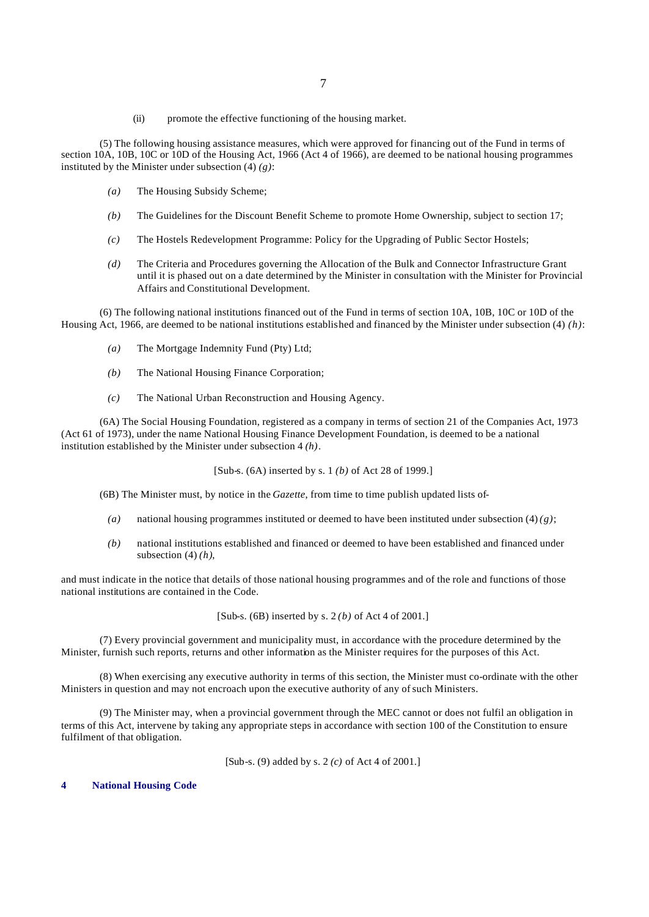(ii) promote the effective functioning of the housing market.

(5) The following housing assistance measures, which were approved for financing out of the Fund in terms of section 10A, 10B, 10C or 10D of the Housing Act, 1966 (Act 4 of 1966), are deemed to be national housing programmes instituted by the Minister under subsection (4) *(g)*:

- *(a)* The Housing Subsidy Scheme;
- *(b)* The Guidelines for the Discount Benefit Scheme to promote Home Ownership, subject to section 17;
- *(c)* The Hostels Redevelopment Programme: Policy for the Upgrading of Public Sector Hostels;
- *(d)* The Criteria and Procedures governing the Allocation of the Bulk and Connector Infrastructure Grant until it is phased out on a date determined by the Minister in consultation with the Minister for Provincial Affairs and Constitutional Development.

(6) The following national institutions financed out of the Fund in terms of section 10A, 10B, 10C or 10D of the Housing Act, 1966, are deemed to be national institutions established and financed by the Minister under subsection (4) *(h)*:

- *(a)* The Mortgage Indemnity Fund (Pty) Ltd;
- *(b)* The National Housing Finance Corporation;
- *(c)* The National Urban Reconstruction and Housing Agency.

(6A) The Social Housing Foundation, registered as a company in terms of section 21 of the Companies Act, 1973 (Act 61 of 1973), under the name National Housing Finance Development Foundation, is deemed to be a national institution established by the Minister under subsection 4 *(h)*.

[Sub-s. (6A) inserted by s. 1 *(b)* of Act 28 of 1999.]

(6B) The Minister must, by notice in the *Gazette*, from time to time publish updated lists of-

- *(a)* national housing programmes instituted or deemed to have been instituted under subsection (4) *(g)*;
- *(b)* national institutions established and financed or deemed to have been established and financed under subsection  $(4)$   $(h)$ ,

and must indicate in the notice that details of those national housing programmes and of the role and functions of those national institutions are contained in the Code.

[Sub-s. (6B) inserted by s. 2 *(b)* of Act 4 of 2001.]

(7) Every provincial government and municipality must, in accordance with the procedure determined by the Minister, furnish such reports, returns and other information as the Minister requires for the purposes of this Act.

(8) When exercising any executive authority in terms of this section, the Minister must co-ordinate with the other Ministers in question and may not encroach upon the executive authority of any of such Ministers.

(9) The Minister may, when a provincial government through the MEC cannot or does not fulfil an obligation in terms of this Act, intervene by taking any appropriate steps in accordance with section 100 of the Constitution to ensure fulfilment of that obligation.

[Sub-s. (9) added by s. 2 *(c)* of Act 4 of 2001.]

**4 National Housing Code**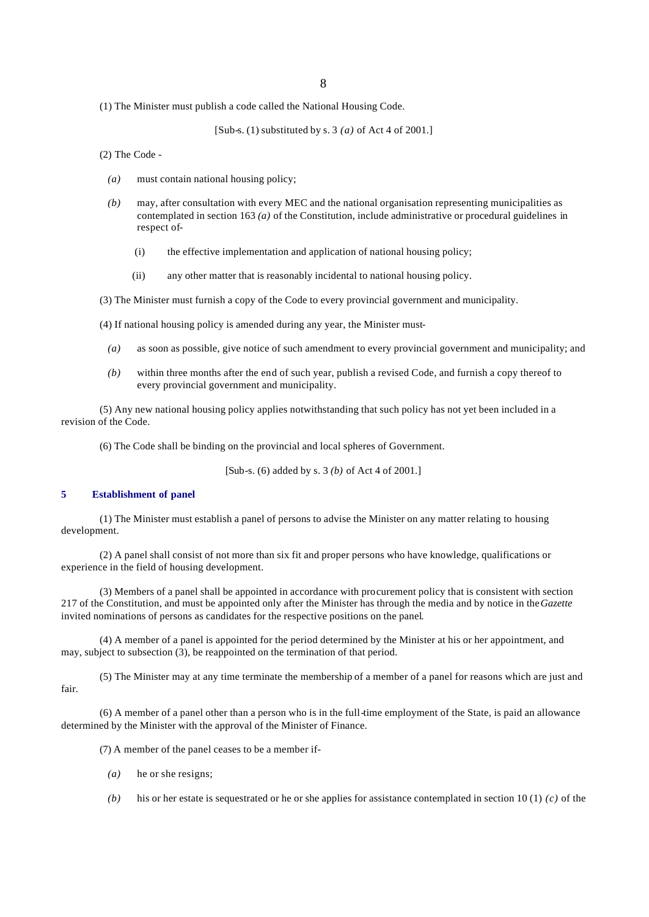(1) The Minister must publish a code called the National Housing Code.

[Sub-s. (1) substituted by s. 3 *(a)* of Act 4 of 2001.]

(2) The Code -

- *(a)* must contain national housing policy;
- *(b)* may, after consultation with every MEC and the national organisation representing municipalities as contemplated in section 163 *(a)* of the Constitution, include administrative or procedural guidelines in respect of-
	- (i) the effective implementation and application of national housing policy;
	- (ii) any other matter that is reasonably incidental to national housing policy.
- (3) The Minister must furnish a copy of the Code to every provincial government and municipality.

(4) If national housing policy is amended during any year, the Minister must-

- *(a)* as soon as possible, give notice of such amendment to every provincial government and municipality; and
- *(b)* within three months after the end of such year, publish a revised Code, and furnish a copy thereof to every provincial government and municipality.

(5) Any new national housing policy applies notwithstanding that such policy has not yet been included in a revision of the Code.

(6) The Code shall be binding on the provincial and local spheres of Government.

[Sub-s. (6) added by s. 3 *(b)* of Act 4 of 2001.]

## **5 Establishment of panel**

(1) The Minister must establish a panel of persons to advise the Minister on any matter relating to housing development.

(2) A panel shall consist of not more than six fit and proper persons who have knowledge, qualifications or experience in the field of housing development.

(3) Members of a panel shall be appointed in accordance with procurement policy that is consistent with section 217 of the Constitution, and must be appointed only after the Minister has through the media and by notice in the *Gazette* invited nominations of persons as candidates for the respective positions on the panel.

(4) A member of a panel is appointed for the period determined by the Minister at his or her appointment, and may, subject to subsection  $(3)$ , be reappointed on the termination of that period.

(5) The Minister may at any time terminate the membership of a member of a panel for reasons which are just and fair.

(6) A member of a panel other than a person who is in the full-time employment of the State, is paid an allowance determined by the Minister with the approval of the Minister of Finance.

(7) A member of the panel ceases to be a member if-

- *(a)* he or she resigns;
- *(b)* his or her estate is sequestrated or he or she applies for assistance contemplated in section 10 (1) *(c)* of the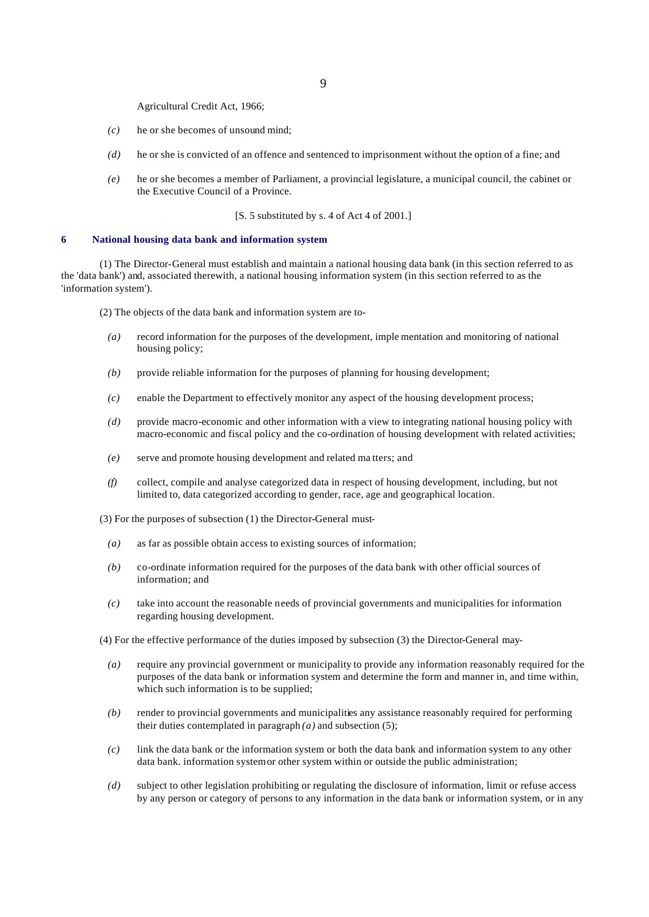Agricultural Credit Act, 1966;

- *(c)* he or she becomes of unsound mind;
- *(d)* he or she is convicted of an offence and sentenced to imprisonment without the option of a fine; and
- *(e)* he or she becomes a member of Parliament, a provincial legislature, a municipal council, the cabinet or the Executive Council of a Province.

[S. 5 substituted by s. 4 of Act 4 of 2001.]

#### **6 National housing data bank and information system**

(1) The Director-General must establish and maintain a national housing data bank (in this section referred to as the 'data bank') and, associated therewith, a national housing information system (in this section referred to as the 'information system').

(2) The objects of the data bank and information system are to-

- *(a)* record information for the purposes of the development, imple mentation and monitoring of national housing policy;
- *(b)* provide reliable information for the purposes of planning for housing development;
- *(c)* enable the Department to effectively monitor any aspect of the housing development process;
- *(d)* provide macro-economic and other information with a view to integrating national housing policy with macro-economic and fiscal policy and the co-ordination of housing development with related activities;
- *(e)* serve and promote housing development and related ma tters; and
- *(f)* collect, compile and analyse categorized data in respect of housing development, including, but not limited to, data categorized according to gender, race, age and geographical location.

(3) For the purposes of subsection (1) the Director-General must-

- *(a)* as far as possible obtain access to existing sources of information;
- *(b)* co-ordinate information required for the purposes of the data bank with other official sources of information; and
- *(c)* take into account the reasonable needs of provincial governments and municipalities for information regarding housing development.

(4) For the effective performance of the duties imposed by subsection (3) the Director-General may-

- *(a)* require any provincial government or municipality to provide any information reasonably required for the purposes of the data bank or information system and determine the form and manner in, and time within, which such information is to be supplied;
- *(b)* render to provincial governments and municipalities any assistance reasonably required for performing their duties contemplated in paragraph  $(a)$  and subsection  $(5)$ ;
- *(c)* link the data bank or the information system or both the data bank and information system to any other data bank. information system or other system within or outside the public administration;
- *(d)* subject to other legislation prohibiting or regulating the disclosure of information, limit or refuse access by any person or category of persons to any information in the data bank or information system, or in any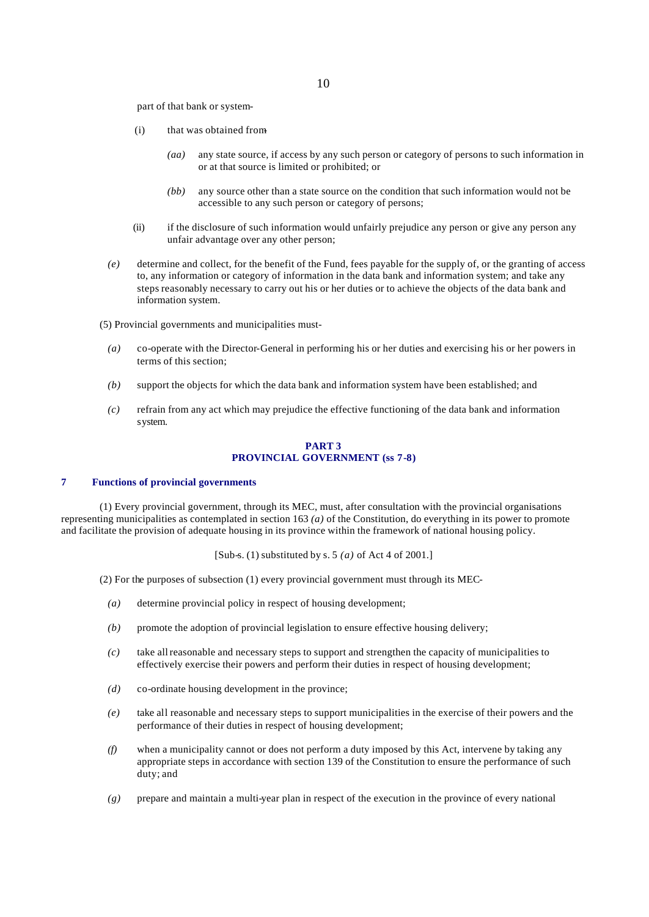part of that bank or system-

- (i) that was obtained from-
	- *(aa)* any state source, if access by any such person or category of persons to such information in or at that source is limited or prohibited; or
	- *(bb)* any source other than a state source on the condition that such information would not be accessible to any such person or category of persons;
- (ii) if the disclosure of such information would unfairly prejudice any person or give any person any unfair advantage over any other person;
- *(e)* determine and collect, for the benefit of the Fund, fees payable for the supply of, or the granting of access to, any information or category of information in the data bank and information system; and take any steps reasonably necessary to carry out his or her duties or to achieve the objects of the data bank and information system.
- (5) Provincial governments and municipalities must-
	- *(a)* co-operate with the Director-General in performing his or her duties and exercising his or her powers in terms of this section;
	- *(b)* support the objects for which the data bank and information system have been established; and
	- *(c)* refrain from any act which may prejudice the effective functioning of the data bank and information system.

#### **PART 3 PROVINCIAL GOVERNMENT (ss 7-8)**

## **7 Functions of provincial governments**

(1) Every provincial government, through its MEC, must, after consultation with the provincial organisations representing municipalities as contemplated in section 163 *(a)* of the Constitution, do everything in its power to promote and facilitate the provision of adequate housing in its province within the framework of national housing policy.

[Sub-s. (1) substituted by s. 5 *(a)* of Act 4 of 2001.]

(2) For the purposes of subsection (1) every provincial government must through its MEC-

- *(a)* determine provincial policy in respect of housing development;
- *(b)* promote the adoption of provincial legislation to ensure effective housing delivery;
- *(c)* take all reasonable and necessary steps to support and strengthen the capacity of municipalities to effectively exercise their powers and perform their duties in respect of housing development;
- *(d)* co-ordinate housing development in the province;
- *(e)* take all reasonable and necessary steps to support municipalities in the exercise of their powers and the performance of their duties in respect of housing development;
- *(f)* when a municipality cannot or does not perform a duty imposed by this Act, intervene by taking any appropriate steps in accordance with section 139 of the Constitution to ensure the performance of such duty; and
- *(g)* prepare and maintain a multi-year plan in respect of the execution in the province of every national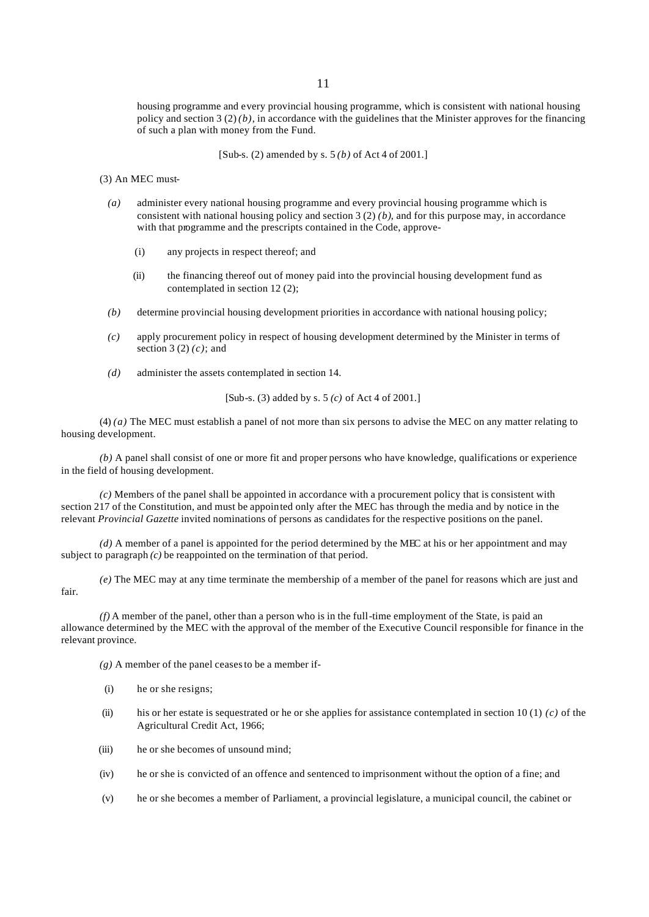housing programme and every provincial housing programme, which is consistent with national housing policy and section  $3(2)(b)$ , in accordance with the guidelines that the Minister approves for the financing of such a plan with money from the Fund.

[Sub-s. (2) amended by s. 5 *(b)* of Act 4 of 2001.]

(3) An MEC must-

- *(a)* administer every national housing programme and every provincial housing programme which is consistent with national housing policy and section 3 (2) *(b)*, and for this purpose may, in accordance with that programme and the prescripts contained in the Code, approve-
	- (i) any projects in respect thereof; and
	- (ii) the financing thereof out of money paid into the provincial housing development fund as contemplated in section 12 (2);
- *(b)* determine provincial housing development priorities in accordance with national housing policy;
- *(c)* apply procurement policy in respect of housing development determined by the Minister in terms of section 3 (2) *(c)*; and
- *(d)* administer the assets contemplated in section 14.

[Sub-s. (3) added by s. 5 *(c)* of Act 4 of 2001.]

(4) *(a)* The MEC must establish a panel of not more than six persons to advise the MEC on any matter relating to housing development.

*(b)* A panel shall consist of one or more fit and proper persons who have knowledge, qualifications or experience in the field of housing development.

*(c)* Members of the panel shall be appointed in accordance with a procurement policy that is consistent with section 217 of the Constitution, and must be appointed only after the MEC has through the media and by notice in the relevant *Provincial Gazette* invited nominations of persons as candidates for the respective positions on the panel.

*(d)* A member of a panel is appointed for the period determined by the MEC at his or her appointment and may subject to paragraph  $(c)$  be reappointed on the termination of that period.

*(e)* The MEC may at any time terminate the membership of a member of the panel for reasons which are just and fair.

*(f)* A member of the panel, other than a person who is in the full-time employment of the State, is paid an allowance determined by the MEC with the approval of the member of the Executive Council responsible for finance in the relevant province.

*(g)* A member of the panel ceases to be a member if-

- (i) he or she resigns;
- (ii) his or her estate is sequestrated or he or she applies for assistance contemplated in section 10 (1) *(c)* of the Agricultural Credit Act, 1966;
- (iii) he or she becomes of unsound mind;
- (iv) he or she is convicted of an offence and sentenced to imprisonment without the option of a fine; and
- (v) he or she becomes a member of Parliament, a provincial legislature, a municipal council, the cabinet or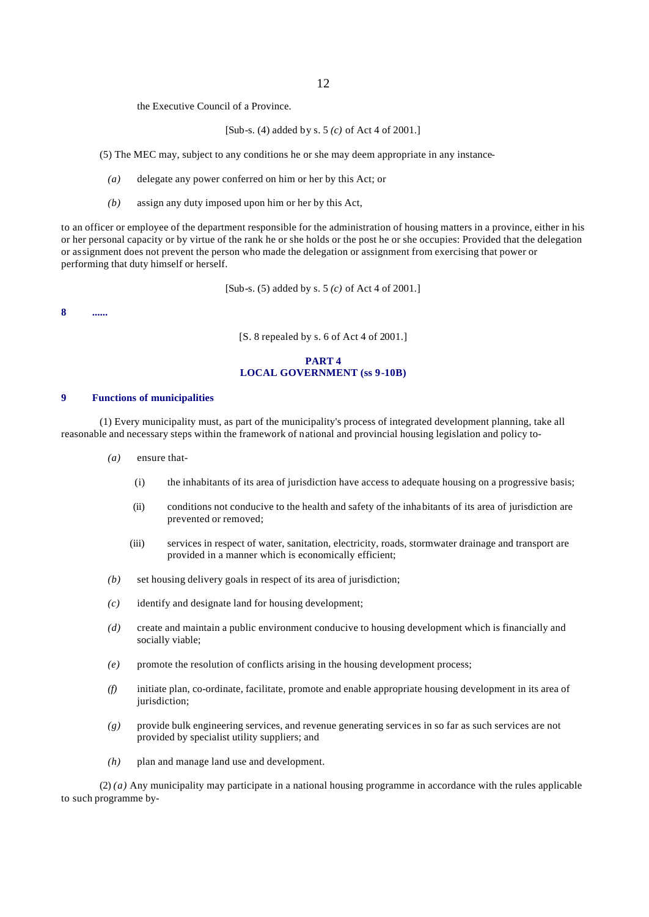the Executive Council of a Province.

[Sub-s. (4) added by s. 5 *(c)* of Act 4 of 2001.]

(5) The MEC may, subject to any conditions he or she may deem appropriate in any instance-

- *(a)* delegate any power conferred on him or her by this Act; or
- *(b)* assign any duty imposed upon him or her by this Act,

to an officer or employee of the department responsible for the administration of housing matters in a province, either in his or her personal capacity or by virtue of the rank he or she holds or the post he or she occupies: Provided that the delegation or assignment does not prevent the person who made the delegation or assignment from exercising that power or performing that duty himself or herself.

[Sub-s. (5) added by s. 5 *(c)* of Act 4 of 2001.]

**8 ......**

[S. 8 repealed by s. 6 of Act 4 of 2001.]

## **PART 4 LOCAL GOVERNMENT (ss 9-10B)**

#### **9 Functions of municipalities**

(1) Every municipality must, as part of the municipality's process of integrated development planning, take all reasonable and necessary steps within the framework of national and provincial housing legislation and policy to-

- *(a)* ensure that-
	- (i) the inhabitants of its area of jurisdiction have access to adequate housing on a progressive basis;
	- (ii) conditions not conducive to the health and safety of the inhabitants of its area of jurisdiction are prevented or removed;
	- (iii) services in respect of water, sanitation, electricity, roads, stormwater drainage and transport are provided in a manner which is economically efficient;
- *(b)* set housing delivery goals in respect of its area of jurisdiction;
- *(c)* identify and designate land for housing development;
- *(d)* create and maintain a public environment conducive to housing development which is financially and socially viable;
- *(e)* promote the resolution of conflicts arising in the housing development process;
- *(f)* initiate plan, co-ordinate, facilitate, promote and enable appropriate housing development in its area of jurisdiction;
- *(g)* provide bulk engineering services, and revenue generating services in so far as such services are not provided by specialist utility suppliers; and
- *(h)* plan and manage land use and development.

(2) *(a)* Any municipality may participate in a national housing programme in accordance with the rules applicable to such programme by-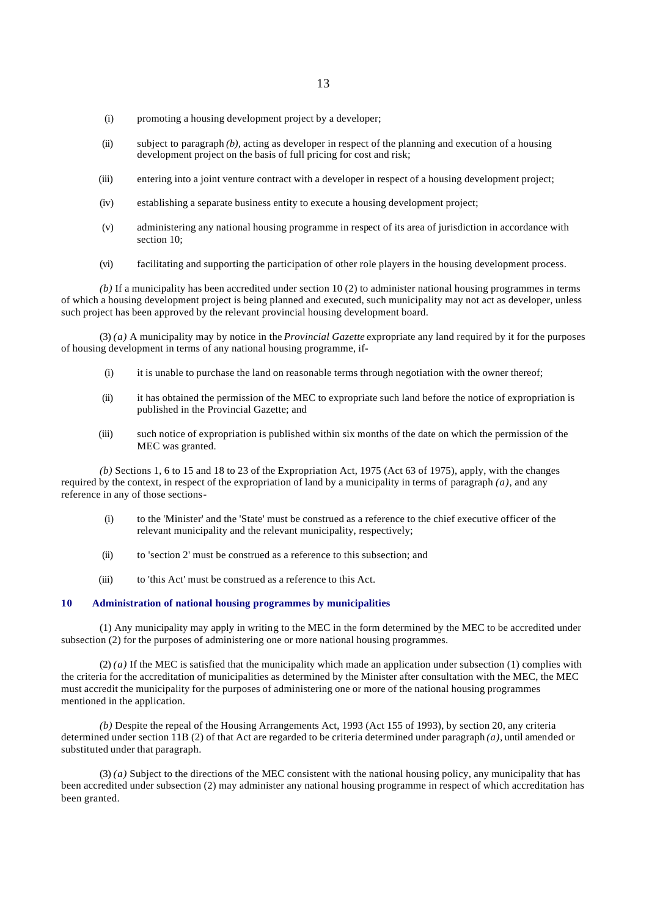- (i) promoting a housing development project by a developer;
- (ii) subject to paragraph *(b),* acting as developer in respect of the planning and execution of a housing development project on the basis of full pricing for cost and risk;
- (iii) entering into a joint venture contract with a developer in respect of a housing development project;
- (iv) establishing a separate business entity to execute a housing development project;
- (v) administering any national housing programme in respect of its area of jurisdiction in accordance with section 10;
- (vi) facilitating and supporting the participation of other role players in the housing development process.

*(b)* If a municipality has been accredited under section 10 (2) to administer national housing programmes in terms of which a housing development project is being planned and executed, such municipality may not act as developer, unless such project has been approved by the relevant provincial housing development board.

(3) *(a)* A municipality may by notice in the *Provincial Gazette* expropriate any land required by it for the purposes of housing development in terms of any national housing programme, if-

- $(i)$  it is unable to purchase the land on reasonable terms through negotiation with the owner thereof;
- (ii) it has obtained the permission of the MEC to expropriate such land before the notice of expropriation is published in the Provincial Gazette; and
- (iii) such notice of expropriation is published within six months of the date on which the permission of the MEC was granted.

*(b)* Sections 1, 6 to 15 and 18 to 23 of the Expropriation Act, 1975 (Act 63 of 1975), apply, with the changes required by the context, in respect of the expropriation of land by a municipality in terms of paragraph *(a)*, and any reference in any of those sections-

- (i) to the 'Minister' and the 'State' must be construed as a reference to the chief executive officer of the relevant municipality and the relevant municipality, respectively;
- (ii) to 'section 2' must be construed as a reference to this subsection; and
- (iii) to 'this Act' must be construed as a reference to this Act.

## **10 Administration of national housing programmes by municipalities**

(1) Any municipality may apply in writing to the MEC in the form determined by the MEC to be accredited under subsection (2) for the purposes of administering one or more national housing programmes.

(2) *(a)* If the MEC is satisfied that the municipality which made an application under subsection (1) complies with the criteria for the accreditation of municipalities as determined by the Minister after consultation with the MEC, the MEC must accredit the municipality for the purposes of administering one or more of the national housing programmes mentioned in the application.

*(b)* Despite the repeal of the Housing Arrangements Act, 1993 (Act 155 of 1993), by section 20, any criteria determined under section 11B (2) of that Act are regarded to be criteria determined under paragraph *(a),* until amended or substituted under that paragraph.

(3) *(a)* Subject to the directions of the MEC consistent with the national housing policy, any municipality that has been accredited under subsection (2) may administer any national housing programme in respect of which accreditation has been granted.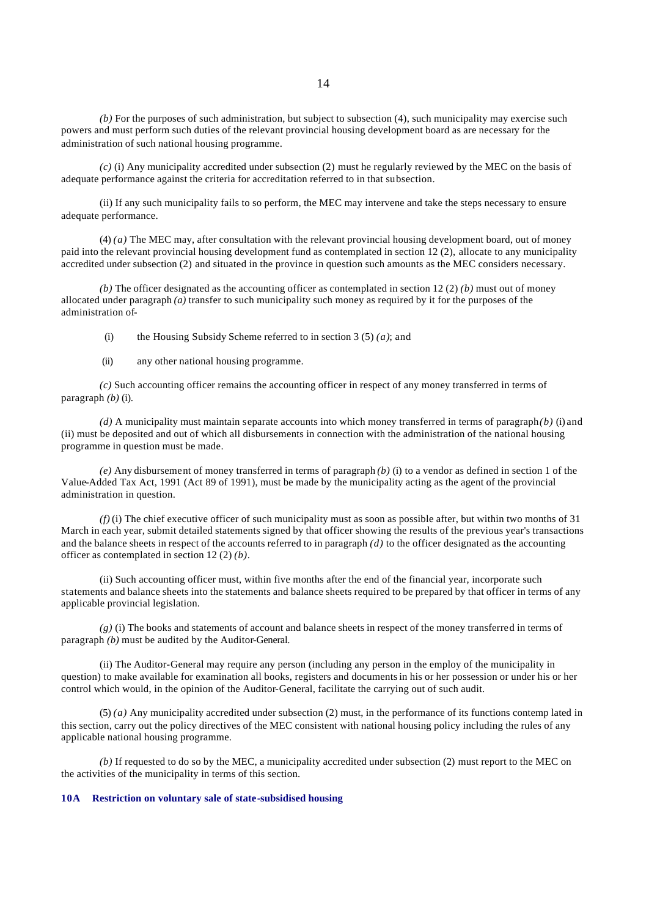*(b)* For the purposes of such administration, but subject to subsection (4), such municipality may exercise such powers and must perform such duties of the relevant provincial housing development board as are necessary for the administration of such national housing programme.

*(c)* (i) Any municipality accredited under subsection (2) must he regularly reviewed by the MEC on the basis of adequate performance against the criteria for accreditation referred to in that subsection.

(ii) If any such municipality fails to so perform, the MEC may intervene and take the steps necessary to ensure adequate performance.

(4) *(a)* The MEC may, after consultation with the relevant provincial housing development board, out of money paid into the relevant provincial housing development fund as contemplated in section 12 (2), allocate to any municipality accredited under subsection (2) and situated in the province in question such amounts as the MEC considers necessary.

*(b)* The officer designated as the accounting officer as contemplated in section 12 (2) *(b)* must out of money allocated under paragraph  $\overline{a}$  transfer to such municipality such money as required by it for the purposes of the administration of-

(i) the Housing Subsidy Scheme referred to in section 3 (5) *(a)*; and

(ii) any other national housing programme.

*(c)* Such accounting officer remains the accounting officer in respect of any money transferred in terms of paragraph *(b)* (i).

*(d)* A municipality must maintain separate accounts into which money transferred in terms of paragraph *(b)* (i) and (ii) must be deposited and out of which all disbursements in connection with the administration of the national housing programme in question must be made.

*(e)* Any disbursement of money transferred in terms of paragraph *(b)* (i) to a vendor as defined in section 1 of the Value-Added Tax Act, 1991 (Act 89 of 1991), must be made by the municipality acting as the agent of the provincial administration in question.

*(f)* (i) The chief executive officer of such municipality must as soon as possible after, but within two months of 31 March in each year, submit detailed statements signed by that officer showing the results of the previous year's transactions and the balance sheets in respect of the accounts referred to in paragraph  $(d)$  to the officer designated as the accounting officer as contemplated in section 12 (2) *(b)*.

(ii) Such accounting officer must, within five months after the end of the financial year, incorporate such statements and balance sheets into the statements and balance sheets required to be prepared by that officer in terms of any applicable provincial legislation.

*(g)* (i) The books and statements of account and balance sheets in respect of the money transferred in terms of paragraph *(b)* must be audited by the Auditor-General.

(ii) The Auditor-General may require any person (including any person in the employ of the municipality in question) to make available for examination all books, registers and documents in his or her possession or under his or her control which would, in the opinion of the Auditor-General, facilitate the carrying out of such audit.

(5) *(a)* Any municipality accredited under subsection (2) must, in the performance of its functions contemp lated in this section, carry out the policy directives of the MEC consistent with national housing policy including the rules of any applicable national housing programme.

*(b)* If requested to do so by the MEC, a municipality accredited under subsection (2) must report to the MEC on the activities of the municipality in terms of this section.

#### **10A Restriction on voluntary sale of state-subsidised housing**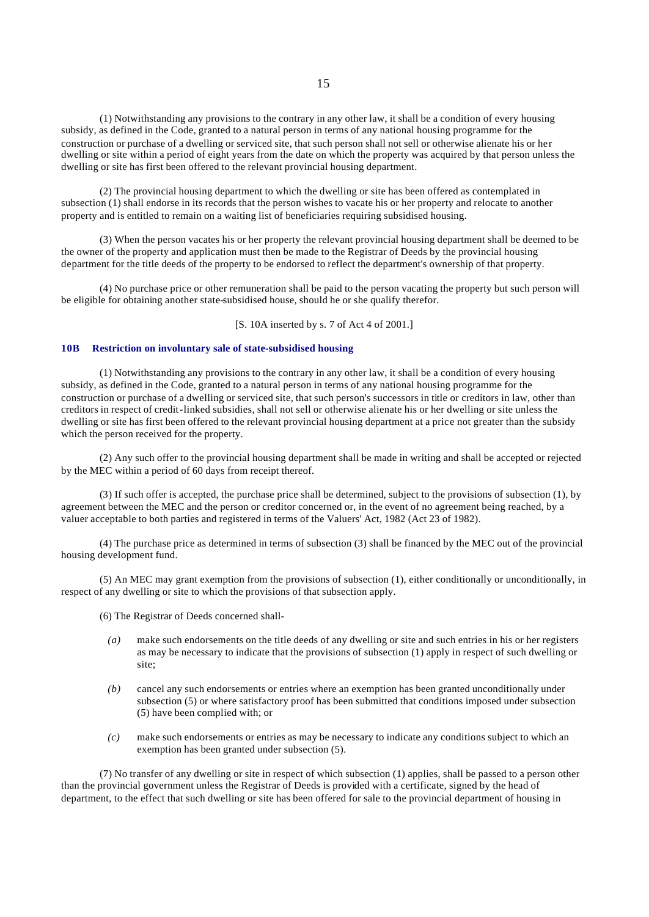(1) Notwithstanding any provisions to the contrary in any other law, it shall be a condition of every housing subsidy, as defined in the Code, granted to a natural person in terms of any national housing programme for the construction or purchase of a dwelling or serviced site, that such person shall not sell or otherwise alienate his or her dwelling or site within a period of eight years from the date on which the property was acquired by that person unless the dwelling or site has first been offered to the relevant provincial housing department.

(2) The provincial housing department to which the dwelling or site has been offered as contemplated in subsection (1) shall endorse in its records that the person wishes to vacate his or her property and relocate to another property and is entitled to remain on a waiting list of beneficiaries requiring subsidised housing.

(3) When the person vacates his or her property the relevant provincial housing department shall be deemed to be the owner of the property and application must then be made to the Registrar of Deeds by the provincial housing department for the title deeds of the property to be endorsed to reflect the department's ownership of that property.

(4) No purchase price or other remuneration shall be paid to the person vacating the property but such person will be eligible for obtaining another state-subsidised house, should he or she qualify therefor.

[S. 10A inserted by s. 7 of Act 4 of 2001.]

#### **10B Restriction on involuntary sale of state-subsidised housing**

(1) Notwithstanding any provisions to the contrary in any other law, it shall be a condition of every housing subsidy, as defined in the Code, granted to a natural person in terms of any national housing programme for the construction or purchase of a dwelling or serviced site, that such person's successors in title or creditors in law, other than creditors in respect of credit-linked subsidies, shall not sell or otherwise alienate his or her dwelling or site unless the dwelling or site has first been offered to the relevant provincial housing department at a price not greater than the subsidy which the person received for the property.

(2) Any such offer to the provincial housing department shall be made in writing and shall be accepted or rejected by the MEC within a period of 60 days from receipt thereof.

(3) If such offer is accepted, the purchase price shall be determined, subject to the provisions of subsection (1), by agreement between the MEC and the person or creditor concerned or, in the event of no agreement being reached, by a valuer acceptable to both parties and registered in terms of the Valuers' Act, 1982 (Act 23 of 1982).

(4) The purchase price as determined in terms of subsection (3) shall be financed by the MEC out of the provincial housing development fund.

(5) An MEC may grant exemption from the provisions of subsection (1), either conditionally or unconditionally, in respect of any dwelling or site to which the provisions of that subsection apply.

(6) The Registrar of Deeds concerned shall-

- *(a)* make such endorsements on the title deeds of any dwelling or site and such entries in his or her registers as may be necessary to indicate that the provisions of subsection (1) apply in respect of such dwelling or site;
- *(b)* cancel any such endorsements or entries where an exemption has been granted unconditionally under subsection (5) or where satisfactory proof has been submitted that conditions imposed under subsection (5) have been complied with; or
- *(c)* make such endorsements or entries as may be necessary to indicate any conditions subject to which an exemption has been granted under subsection (5).

(7) No transfer of any dwelling or site in respect of which subsection (1) applies, shall be passed to a person other than the provincial government unless the Registrar of Deeds is provided with a certificate, signed by the head of department, to the effect that such dwelling or site has been offered for sale to the provincial department of housing in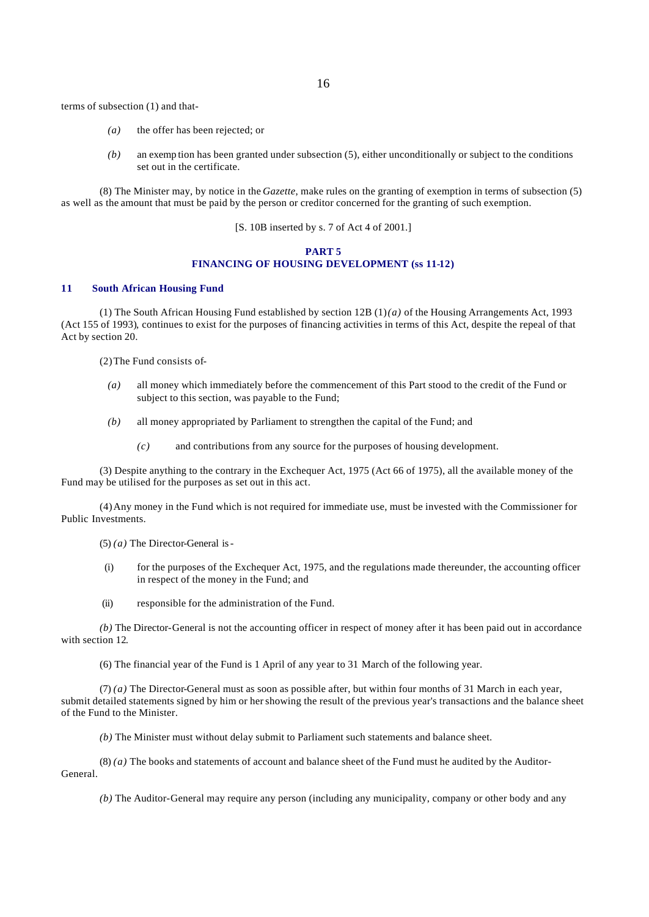terms of subsection (1) and that-

- *(a)* the offer has been rejected; or
- *(b)* an exemp tion has been granted under subsection (5), either unconditionally or subject to the conditions set out in the certificate.

(8) The Minister may, by notice in the *Gazette*, make rules on the granting of exemption in terms of subsection (5) as well as the amount that must be paid by the person or creditor concerned for the granting of such exemption.

[S. 10B inserted by s. 7 of Act 4 of 2001.]

## **PART 5 FINANCING OF HOUSING DEVELOPMENT (ss 11-12)**

## **11 South African Housing Fund**

(1) The South African Housing Fund established by section 12B (1) *(a)* of the Housing Arrangements Act, 1993 (Act 155 of 1993)*,* continues to exist for the purposes of financing activities in terms of this Act, despite the repeal of that Act by section 20.

(2)The Fund consists of-

- *(a)* all money which immediately before the commencement of this Part stood to the credit of the Fund or subject to this section, was payable to the Fund;
- *(b)* all money appropriated by Parliament to strengthen the capital of the Fund; and
	- *(c)* and contributions from any source for the purposes of housing development.

(3) Despite anything to the contrary in the Exchequer Act, 1975 (Act 66 of 1975), all the available money of the Fund may be utilised for the purposes as set out in this act.

(4)Any money in the Fund which is not required for immediate use, must be invested with the Commissioner for Public Investments.

(5) *(a)* The Director-General is-

- (i) for the purposes of the Exchequer Act, 1975, and the regulations made thereunder, the accounting officer in respect of the money in the Fund; and
- (ii) responsible for the administration of the Fund.

*(b)* The Director-General is not the accounting officer in respect of money after it has been paid out in accordance with section 12.

(6) The financial year of the Fund is 1 April of any year to 31 March of the following year.

(7) *(a)* The Director-General must as soon as possible after, but within four months of 31 March in each year, submit detailed statements signed by him or her showing the result of the previous year's transactions and the balance sheet of the Fund to the Minister.

*(b)* The Minister must without delay submit to Parliament such statements and balance sheet.

(8) *(a)* The books and statements of account and balance sheet of the Fund must he audited by the Auditor-General.

*(b)* The Auditor-General may require any person (including any municipality, company or other body and any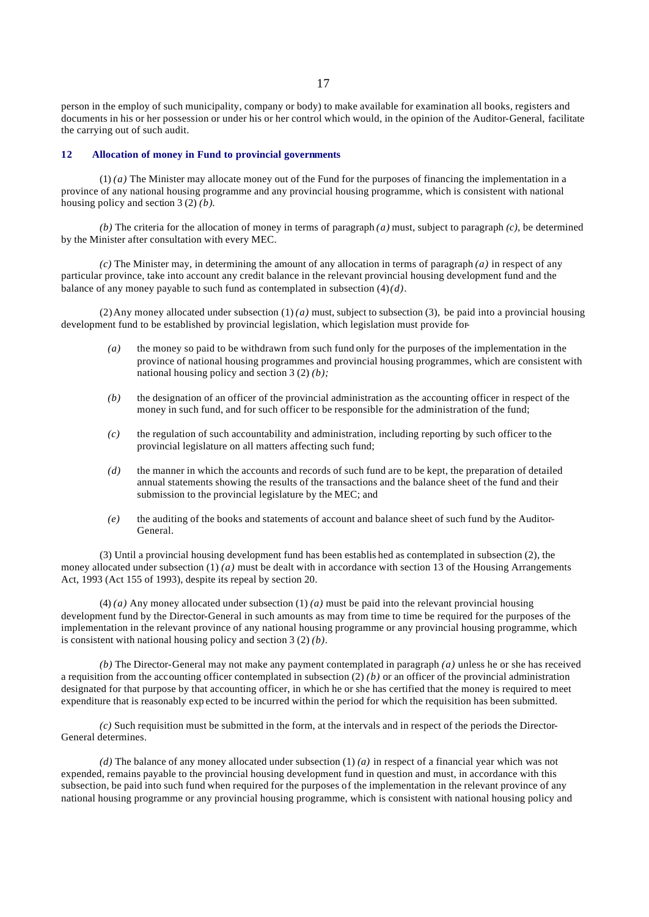person in the employ of such municipality, company or body) to make available for examination all books, registers and documents in his or her possession or under his or her control which would, in the opinion of the Auditor-General, facilitate the carrying out of such audit.

#### **12 Allocation of money in Fund to provincial governments**

(1) *(a)* The Minister may allocate money out of the Fund for the purposes of financing the implementation in a province of any national housing programme and any provincial housing programme, which is consistent with national housing policy and section 3 (2) *(b)*.

*(b)* The criteria for the allocation of money in terms of paragraph *(a)* must, subject to paragraph *(c)*, be determined by the Minister after consultation with every MEC.

*(c)* The Minister may, in determining the amount of any allocation in terms of paragraph *(a)* in respect of any particular province, take into account any credit balance in the relevant provincial housing development fund and the balance of any money payable to such fund as contemplated in subsection  $(4)(d)$ .

(2) Any money allocated under subsection  $(1)$  *(a)* must, subject to subsection (3), be paid into a provincial housing development fund to be established by provincial legislation, which legislation must provide for-

- *(a)* the money so paid to be withdrawn from such fund only for the purposes of the implementation in the province of national housing programmes and provincial housing programmes, which are consistent with national housing policy and section 3 (2) *(b);*
- *(b)* the designation of an officer of the provincial administration as the accounting officer in respect of the money in such fund, and for such officer to be responsible for the administration of the fund;
- *(c)* the regulation of such accountability and administration, including reporting by such officer to the provincial legislature on all matters affecting such fund;
- *(d)* the manner in which the accounts and records of such fund are to be kept, the preparation of detailed annual statements showing the results of the transactions and the balance sheet of the fund and their submission to the provincial legislature by the MEC; and
- *(e)* the auditing of the books and statements of account and balance sheet of such fund by the Auditor-General.

(3) Until a provincial housing development fund has been establis hed as contemplated in subsection (2), the money allocated under subsection  $(1)$  *(a)* must be dealt with in accordance with section 13 of the Housing Arrangements Act, 1993 (Act 155 of 1993), despite its repeal by section 20.

 $(4)$  *(a)* Any money allocated under subsection  $(1)$  *(a)* must be paid into the relevant provincial housing development fund by the Director-General in such amounts as may from time to time be required for the purposes of the implementation in the relevant province of any national housing programme or any provincial housing programme, which is consistent with national housing policy and section 3 (2) *(b)*.

*(b)* The Director-General may not make any payment contemplated in paragraph *(a)* unless he or she has received a requisition from the accounting officer contemplated in subsection  $(2)$  *(b)* or an officer of the provincial administration designated for that purpose by that accounting officer, in which he or she has certified that the money is required to meet expenditure that is reasonably exp ected to be incurred within the period for which the requisition has been submitted.

*(c)* Such requisition must be submitted in the form, at the intervals and in respect of the periods the Director-General determines.

*(d)* The balance of any money allocated under subsection (1) *(a)* in respect of a financial year which was not expended, remains payable to the provincial housing development fund in question and must, in accordance with this subsection, be paid into such fund when required for the purposes of the implementation in the relevant province of any national housing programme or any provincial housing programme, which is consistent with national housing policy and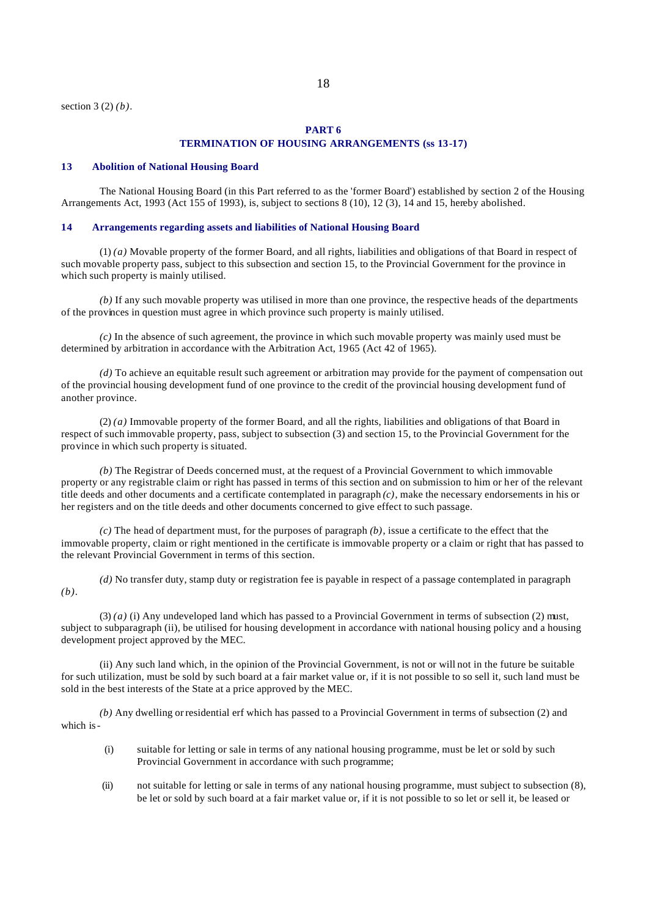## **PART 6 TERMINATION OF HOUSING ARRANGEMENTS (ss 13-17)**

#### **13 Abolition of National Housing Board**

The National Housing Board (in this Part referred to as the 'former Board') established by section 2 of the Housing Arrangements Act, 1993 (Act 155 of 1993), is, subject to sections 8 (10), 12 (3), 14 and 15, hereby abolished.

#### **14 Arrangements regarding assets and liabilities of National Housing Board**

(1) *(a)* Movable property of the former Board, and all rights, liabilities and obligations of that Board in respect of such movable property pass, subject to this subsection and section 15, to the Provincial Government for the province in which such property is mainly utilised.

*(b)* If any such movable property was utilised in more than one province, the respective heads of the departments of the provinces in question must agree in which province such property is mainly utilised.

 $(c)$  In the absence of such agreement, the province in which such movable property was mainly used must be determined by arbitration in accordance with the Arbitration Act, 1965 (Act 42 of 1965).

*(d)* To achieve an equitable result such agreement or arbitration may provide for the payment of compensation out of the provincial housing development fund of one province to the credit of the provincial housing development fund of another province.

(2) *(a)* Immovable property of the former Board, and all the rights, liabilities and obligations of that Board in respect of such immovable property, pass, subject to subsection (3) and section 15, to the Provincial Government for the province in which such property is situated.

*(b)* The Registrar of Deeds concerned must, at the request of a Provincial Government to which immovable property or any registrable claim or right has passed in terms of this section and on submission to him or her of the relevant title deeds and other documents and a certificate contemplated in paragraph *(c)*, make the necessary endorsements in his or her registers and on the title deeds and other documents concerned to give effect to such passage.

*(c)* The head of department must, for the purposes of paragraph *(b)*, issue a certificate to the effect that the immovable property, claim or right mentioned in the certificate is immovable property or a claim or right that has passed to the relevant Provincial Government in terms of this section.

*(d)* No transfer duty, stamp duty or registration fee is payable in respect of a passage contemplated in paragraph *(b)*.

(3) *(a)* (i) Any undeveloped land which has passed to a Provincial Government in terms of subsection (2) must, subject to subparagraph (ii), be utilised for housing development in accordance with national housing policy and a housing development project approved by the MEC.

(ii) Any such land which, in the opinion of the Provincial Government, is not or will not in the future be suitable for such utilization, must be sold by such board at a fair market value or, if it is not possible to so sell it, such land must be sold in the best interests of the State at a price approved by the MEC.

*(b)* Any dwelling or residential erf which has passed to a Provincial Government in terms of subsection (2) and which is-

- (i) suitable for letting or sale in terms of any national housing programme, must be let or sold by such Provincial Government in accordance with such programme;
- (ii) not suitable for letting or sale in terms of any national housing programme, must subject to subsection (8), be let or sold by such board at a fair market value or, if it is not possible to so let or sell it, be leased or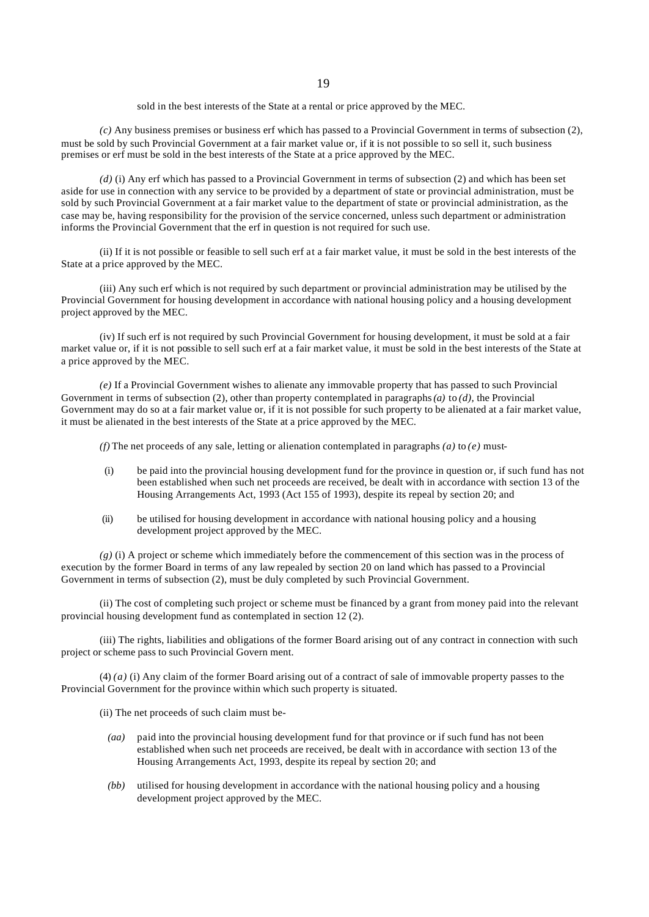sold in the best interests of the State at a rental or price approved by the MEC.

*(c)* Any business premises or business erf which has passed to a Provincial Government in terms of subsection (2), must be sold by such Provincial Government at a fair market value or, if it is not possible to so sell it, such business premises or erf must be sold in the best interests of the State at a price approved by the MEC.

*(d)* (i) Any erf which has passed to a Provincial Government in terms of subsection (2) and which has been set aside for use in connection with any service to be provided by a department of state or provincial administration, must be sold by such Provincial Government at a fair market value to the department of state or provincial administration, as the case may be, having responsibility for the provision of the service concerned, unless such department or administration informs the Provincial Government that the erf in question is not required for such use.

(ii) If it is not possible or feasible to sell such erf at a fair market value, it must be sold in the best interests of the State at a price approved by the MEC.

(iii) Any such erf which is not required by such department or provincial administration may be utilised by the Provincial Government for housing development in accordance with national housing policy and a housing development project approved by the MEC.

(iv) If such erf is not required by such Provincial Government for housing development, it must be sold at a fair market value or, if it is not possible to sell such erf at a fair market value, it must be sold in the best interests of the State at a price approved by the MEC.

*(e)* If a Provincial Government wishes to alienate any immovable property that has passed to such Provincial Government in terms of subsection (2), other than property contemplated in paragraphs *(a)* to *(d),* the Provincial Government may do so at a fair market value or, if it is not possible for such property to be alienated at a fair market value, it must be alienated in the best interests of the State at a price approved by the MEC.

*(f)* The net proceeds of any sale, letting or alienation contemplated in paragraphs  $(a)$  to  $(e)$  must-

- (i) be paid into the provincial housing development fund for the province in question or, if such fund has not been established when such net proceeds are received, be dealt with in accordance with section 13 of the Housing Arrangements Act, 1993 (Act 155 of 1993), despite its repeal by section 20; and
- (ii) be utilised for housing development in accordance with national housing policy and a housing development project approved by the MEC.

*(g)* (i) A project or scheme which immediately before the commencement of this section was in the process of execution by the former Board in terms of any law repealed by section 20 on land which has passed to a Provincial Government in terms of subsection (2), must be duly completed by such Provincial Government.

(ii) The cost of completing such project or scheme must be financed by a grant from money paid into the relevant provincial housing development fund as contemplated in section 12 (2).

(iii) The rights, liabilities and obligations of the former Board arising out of any contract in connection with such project or scheme pass to such Provincial Govern ment.

(4) *(a)* (i) Any claim of the former Board arising out of a contract of sale of immovable property passes to the Provincial Government for the province within which such property is situated.

(ii) The net proceeds of such claim must be-

- *(aa)* paid into the provincial housing development fund for that province or if such fund has not been established when such net proceeds are received, be dealt with in accordance with section 13 of the Housing Arrangements Act, 1993, despite its repeal by section 20; and
- *(bb)* utilised for housing development in accordance with the national housing policy and a housing development project approved by the MEC.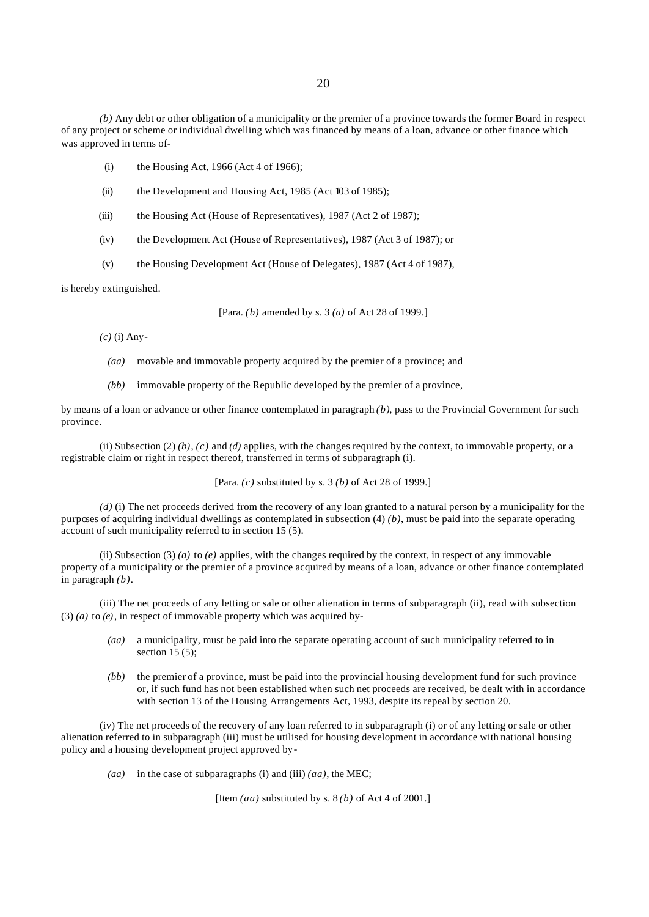*(b)* Any debt or other obligation of a municipality or the premier of a province towards the former Board in respect of any project or scheme or individual dwelling which was financed by means of a loan, advance or other finance which was approved in terms of-

- (i) the Housing Act, 1966 (Act 4 of 1966);
- (ii) the Development and Housing Act, 1985 (Act 103 of 1985);
- (iii) the Housing Act (House of Representatives), 1987 (Act 2 of 1987);
- (iv) the Development Act (House of Representatives), 1987 (Act 3 of 1987); or
- (v) the Housing Development Act (House of Delegates), 1987 (Act 4 of 1987),

is hereby extinguished.

[Para. *(b)* amended by s. 3 *(a)* of Act 28 of 1999.]

*(c)* (i) Any-

- *(aa)* movable and immovable property acquired by the premier of a province; and
- *(bb)* immovable property of the Republic developed by the premier of a province,

by means of a loan or advance or other finance contemplated in paragraph *(b)*, pass to the Provincial Government for such province.

(ii) Subsection (2)  $(b)$ ,  $(c)$  and  $(d)$  applies, with the changes required by the context, to immovable property, or a registrable claim or right in respect thereof, transferred in terms of subparagraph (i).

[Para. *(c)* substituted by s. 3 *(b)* of Act 28 of 1999.]

*(d)* (i) The net proceeds derived from the recovery of any loan granted to a natural person by a municipality for the purposes of acquiring individual dwellings as contemplated in subsection (4) *(b)*, must be paid into the separate operating account of such municipality referred to in section  $15(5)$ .

(ii) Subsection (3) (*a*) to  $(e)$  applies, with the changes required by the context, in respect of any immovable property of a municipality or the premier of a province acquired by means of a loan, advance or other finance contemplated in paragraph *(b)*.

(iii) The net proceeds of any letting or sale or other alienation in terms of subparagraph (ii), read with subsection (3) *(a)* to *(e)*, in respect of immovable property which was acquired by-

- *(aa)* a municipality, must be paid into the separate operating account of such municipality referred to in section  $15(5)$ ;
- *(bb)* the premier of a province, must be paid into the provincial housing development fund for such province or, if such fund has not been established when such net proceeds are received, be dealt with in accordance with section 13 of the Housing Arrangements Act, 1993, despite its repeal by section 20.

(iv) The net proceeds of the recovery of any loan referred to in subparagraph (i) or of any letting or sale or other alienation referred to in subparagraph (iii) must be utilised for housing development in accordance with national housing policy and a housing development project approved by-

*(aa)* in the case of subparagraphs (i) and (iii) *(aa)*, the MEC;

[Item *(aa)* substituted by s. 8 *(b)* of Act 4 of 2001.]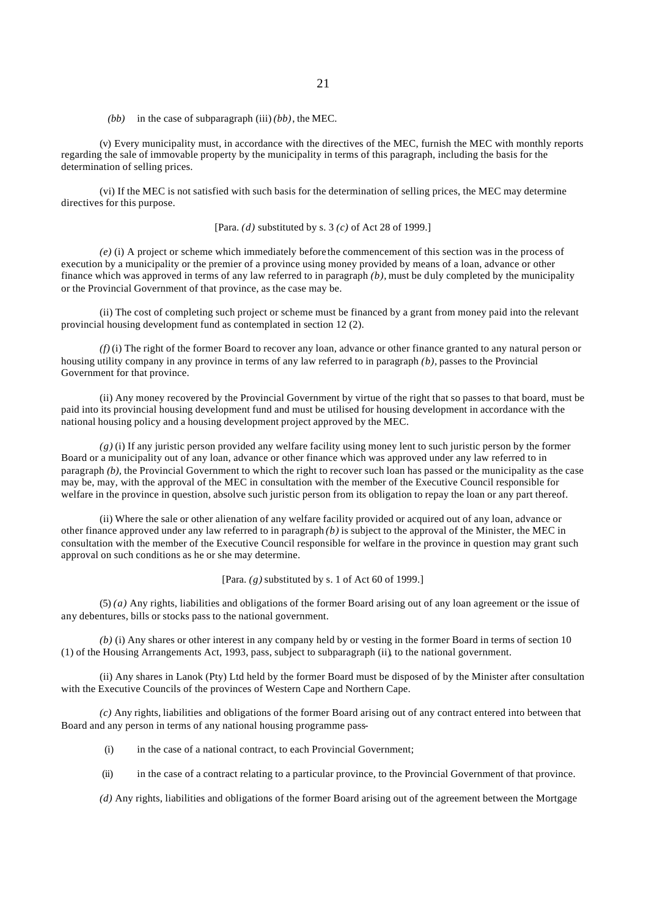#### *(bb)* in the case of subparagraph (iii) *(bb)*, the MEC.

(v) Every municipality must, in accordance with the directives of the MEC, furnish the MEC with monthly reports regarding the sale of immovable property by the municipality in terms of this paragraph, including the basis for the determination of selling prices.

(vi) If the MEC is not satisfied with such basis for the determination of selling prices, the MEC may determine directives for this purpose.

[Para. *(d)* substituted by s. 3 *(c)* of Act 28 of 1999.]

*(e)* (i) A project or scheme which immediately before the commencement of this section was in the process of execution by a municipality or the premier of a province using money provided by means of a loan, advance or other finance which was approved in terms of any law referred to in paragraph *(b),* must be duly completed by the municipality or the Provincial Government of that province, as the case may be.

(ii) The cost of completing such project or scheme must be financed by a grant from money paid into the relevant provincial housing development fund as contemplated in section 12 (2).

*(f)* (i) The right of the former Board to recover any loan, advance or other finance granted to any natural person or housing utility company in any province in terms of any law referred to in paragraph *(b),* passes to the Provincial Government for that province.

(ii) Any money recovered by the Provincial Government by virtue of the right that so passes to that board, must be paid into its provincial housing development fund and must be utilised for housing development in accordance with the national housing policy and a housing development project approved by the MEC.

*(g)* (i) If any juristic person provided any welfare facility using money lent to such juristic person by the former Board or a municipality out of any loan, advance or other finance which was approved under any law referred to in paragraph *(b),* the Provincial Government to which the right to recover such loan has passed or the municipality as the case may be, may, with the approval of the MEC in consultation with the member of the Executive Council responsible for welfare in the province in question, absolve such juristic person from its obligation to repay the loan or any part thereof.

(ii) Where the sale or other alienation of any welfare facility provided or acquired out of any loan, advance or other finance approved under any law referred to in paragraph *(b)* is subject to the approval of the Minister, the MEC in consultation with the member of the Executive Council responsible for welfare in the province in question may grant such approval on such conditions as he or she may determine.

[Para. *(g)* substituted by s. 1 of Act 60 of 1999.]

(5) *(a)* Any rights, liabilities and obligations of the former Board arising out of any loan agreement or the issue of any debentures, bills or stocks pass to the national government.

*(b)* (i) Any shares or other interest in any company held by or vesting in the former Board in terms of section 10 (1) of the Housing Arrangements Act, 1993, pass, subject to subparagraph (ii), to the national government.

(ii) Any shares in Lanok (Pty) Ltd held by the former Board must be disposed of by the Minister after consultation with the Executive Councils of the provinces of Western Cape and Northern Cape.

*(c)* Any rights, liabilities and obligations of the former Board arising out of any contract entered into between that Board and any person in terms of any national housing programme pass-

- (i) in the case of a national contract, to each Provincial Government;
- (ii) in the case of a contract relating to a particular province, to the Provincial Government of that province.

*(d)* Any rights, liabilities and obligations of the former Board arising out of the agreement between the Mortgage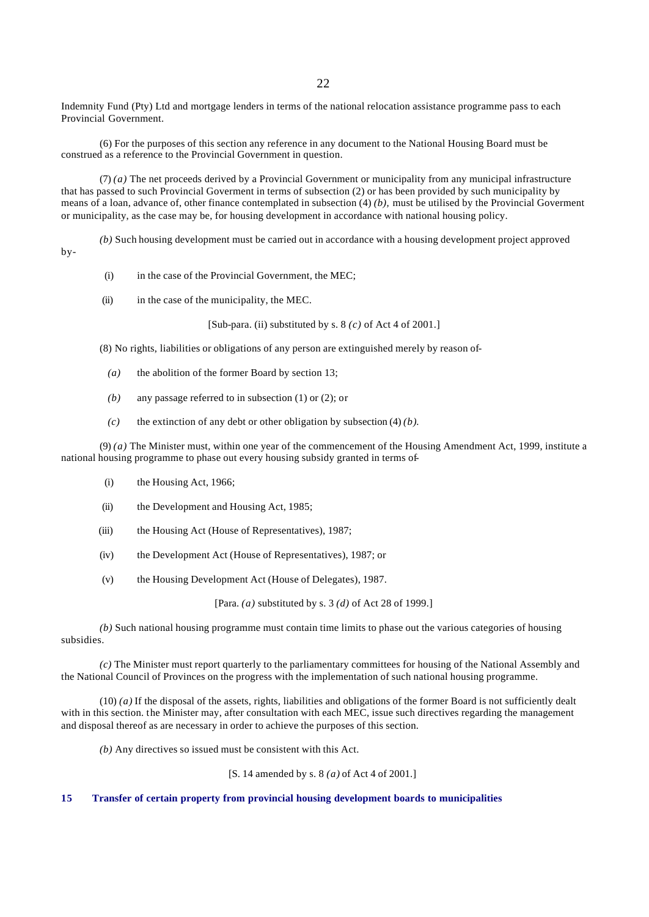Indemnity Fund (Pty) Ltd and mortgage lenders in terms of the national relocation assistance programme pass to each Provincial Government.

(6) For the purposes of this section any reference in any document to the National Housing Board must be construed as a reference to the Provincial Government in question.

(7) *(a)* The net proceeds derived by a Provincial Government or municipality from any municipal infrastructure that has passed to such Provincial Goverment in terms of subsection (2) or has been provided by such municipality by means of a loan, advance of, other finance contemplated in subsection (4) *(b),* must be utilised by the Provincial Goverment or municipality, as the case may be, for housing development in accordance with national housing policy.

*(b)* Such housing development must be carried out in accordance with a housing development project approved by-

- (i) in the case of the Provincial Government, the MEC;
- (ii) in the case of the municipality, the MEC.

[Sub-para. (ii) substituted by s. 8 *(c)* of Act 4 of 2001.]

(8) No rights, liabilities or obligations of any person are extinguished merely by reason of-

- *(a)* the abolition of the former Board by section 13;
- *(b)* any passage referred to in subsection (1) or (2); or
- *(c)* the extinction of any debt or other obligation by subsection (4) *(b)*.

(9) *(a)* The Minister must, within one year of the commencement of the Housing Amendment Act, 1999, institute a national housing programme to phase out every housing subsidy granted in terms of-

- (i) the Housing Act, 1966;
- (ii) the Development and Housing Act, 1985;
- (iii) the Housing Act (House of Representatives), 1987;
- (iv) the Development Act (House of Representatives), 1987; or
- (v) the Housing Development Act (House of Delegates), 1987.

[Para. *(a)* substituted by s. 3 *(d)* of Act 28 of 1999.]

*(b)* Such national housing programme must contain time limits to phase out the various categories of housing subsidies.

*(c)* The Minister must report quarterly to the parliamentary committees for housing of the National Assembly and the National Council of Provinces on the progress with the implementation of such national housing programme.

 $(10)$  *(a)* If the disposal of the assets, rights, liabilities and obligations of the former Board is not sufficiently dealt with in this section, the Minister may, after consultation with each MEC, issue such directives regarding the management and disposal thereof as are necessary in order to achieve the purposes of this section.

*(b)* Any directives so issued must be consistent with this Act.

[S. 14 amended by s. 8 *(a)* of Act 4 of 2001.]

#### **15 Transfer of certain property from provincial housing development boards to municipalities**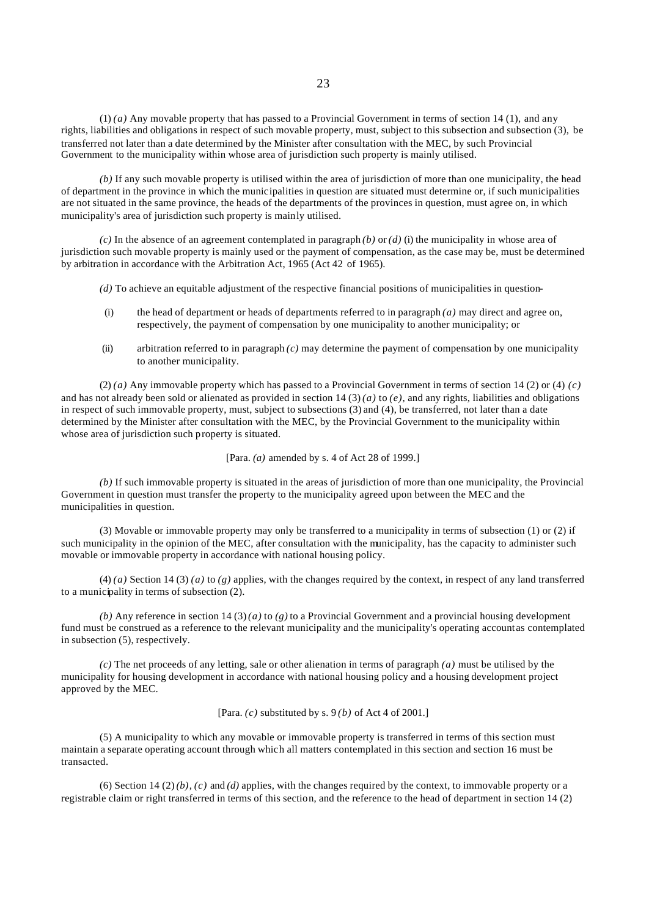(1) *(a)* Any movable property that has passed to a Provincial Government in terms of section 14 (1), and any rights, liabilities and obligations in respect of such movable property, must, subject to this subsection and subsection (3), be transferred not later than a date determined by the Minister after consultation with the MEC, by such Provincial Government to the municipality within whose area of jurisdiction such property is mainly utilised.

*(b)* If any such movable property is utilised within the area of jurisdiction of more than one municipality, the head of department in the province in which the municipalities in question are situated must determine or, if such municipalities are not situated in the same province, the heads of the departments of the provinces in question, must agree on, in which municipality's area of jurisdiction such property is mainly utilised.

*(c)* In the absence of an agreement contemplated in paragraph *(b)* or *(d)* (i) the municipality in whose area of jurisdiction such movable property is mainly used or the payment of compensation, as the case may be, must be determined by arbitration in accordance with the Arbitration Act, 1965 (Act 42 of 1965).

- *(d)* To achieve an equitable adjustment of the respective financial positions of municipalities in question-
- (i) the head of department or heads of departments referred to in paragraph *(a)* may direct and agree on, respectively, the payment of compensation by one municipality to another municipality; or
- (ii) arbitration referred to in paragraph *(c)* may determine the payment of compensation by one municipality to another municipality.

 $(2)$  *(a)* Any immovable property which has passed to a Provincial Government in terms of section 14 (2) or (4) *(c)* and has not already been sold or alienated as provided in section  $14(3)(a)$  to  $(e)$ , and any rights, liabilities and obligations in respect of such immovable property, must, subject to subsections (3) and (4), be transferred, not later than a date determined by the Minister after consultation with the MEC, by the Provincial Government to the municipality within whose area of jurisdiction such property is situated.

[Para. *(a)* amended by s. 4 of Act 28 of 1999.]

*(b)* If such immovable property is situated in the areas of jurisdiction of more than one municipality, the Provincial Government in question must transfer the property to the municipality agreed upon between the MEC and the municipalities in question.

(3) Movable or immovable property may only be transferred to a municipality in terms of subsection (1) or (2) if such municipality in the opinion of the MEC, after consultation with the municipality, has the capacity to administer such movable or immovable property in accordance with national housing policy.

 $(4)$  *(a)* Section 14 (3) *(a)* to *(g)* applies, with the changes required by the context, in respect of any land transferred to a municipality in terms of subsection (2).

*(b)* Any reference in section  $14(3)(a)$  to  $(g)$  to a Provincial Government and a provincial housing development fund must be construed as a reference to the relevant municipality and the municipality's operating account as contemplated in subsection (5), respectively.

*(c)* The net proceeds of any letting, sale or other alienation in terms of paragraph *(a)* must be utilised by the municipality for housing development in accordance with national housing policy and a housing development project approved by the MEC.

[Para. *(c)* substituted by s. 9 *(b)* of Act 4 of 2001.]

(5) A municipality to which any movable or immovable property is transferred in terms of this section must maintain a separate operating account through which all matters contemplated in this section and section 16 must be transacted.

(6) Section 14 (2)  $(b)$ ,  $(c)$  and  $(d)$  applies, with the changes required by the context, to immovable property or a registrable claim or right transferred in terms of this section, and the reference to the head of department in section 14 (2)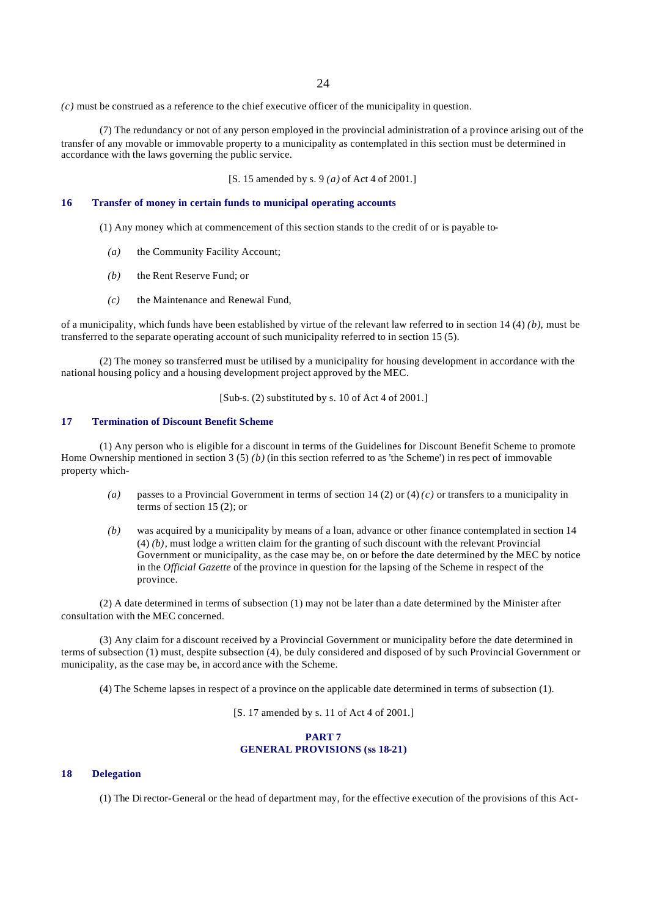*(c)* must be construed as a reference to the chief executive officer of the municipality in question.

(7) The redundancy or not of any person employed in the provincial administration of a province arising out of the transfer of any movable or immovable property to a municipality as contemplated in this section must be determined in accordance with the laws governing the public service.

[S. 15 amended by s. 9 *(a)* of Act 4 of 2001.]

## **16 Transfer of money in certain funds to municipal operating accounts**

(1) Any money which at commencement of this section stands to the credit of or is payable to-

- *(a)* the Community Facility Account;
- *(b)* the Rent Reserve Fund; or
- *(c)* the Maintenance and Renewal Fund,

of a municipality, which funds have been established by virtue of the relevant law referred to in section 14 (4) *(b)*, must be transferred to the separate operating account of such municipality referred to in section 15 (5).

(2) The money so transferred must be utilised by a municipality for housing development in accordance with the national housing policy and a housing development project approved by the MEC.

[Sub-s. (2) substituted by s. 10 of Act 4 of 2001.]

## **17 Termination of Discount Benefit Scheme**

(1) Any person who is eligible for a discount in terms of the Guidelines for Discount Benefit Scheme to promote Home Ownership mentioned in section 3 (5) *(b)* (in this section referred to as 'the Scheme') in res pect of immovable property which-

- *(a)* passes to a Provincial Government in terms of section 14 (2) or (4) *(c)* or transfers to a municipality in terms of section 15 (2); or
- *(b)* was acquired by a municipality by means of a loan, advance or other finance contemplated in section 14 (4) *(b)*, must lodge a written claim for the granting of such discount with the relevant Provincial Government or municipality, as the case may be, on or before the date determined by the MEC by notice in the *Official Gazette* of the province in question for the lapsing of the Scheme in respect of the province.

(2) A date determined in terms of subsection (1) may not be later than a date determined by the Minister after consultation with the MEC concerned.

(3) Any claim for a discount received by a Provincial Government or municipality before the date determined in terms of subsection (1) must, despite subsection (4), be duly considered and disposed of by such Provincial Government or municipality, as the case may be, in accord ance with the Scheme.

(4) The Scheme lapses in respect of a province on the applicable date determined in terms of subsection (1).

[S. 17 amended by s. 11 of Act 4 of 2001.]

## **PART 7 GENERAL PROVISIONS (ss 18-21)**

#### **18 Delegation**

(1) The Director-General or the head of department may, for the effective execution of the provisions of this Act-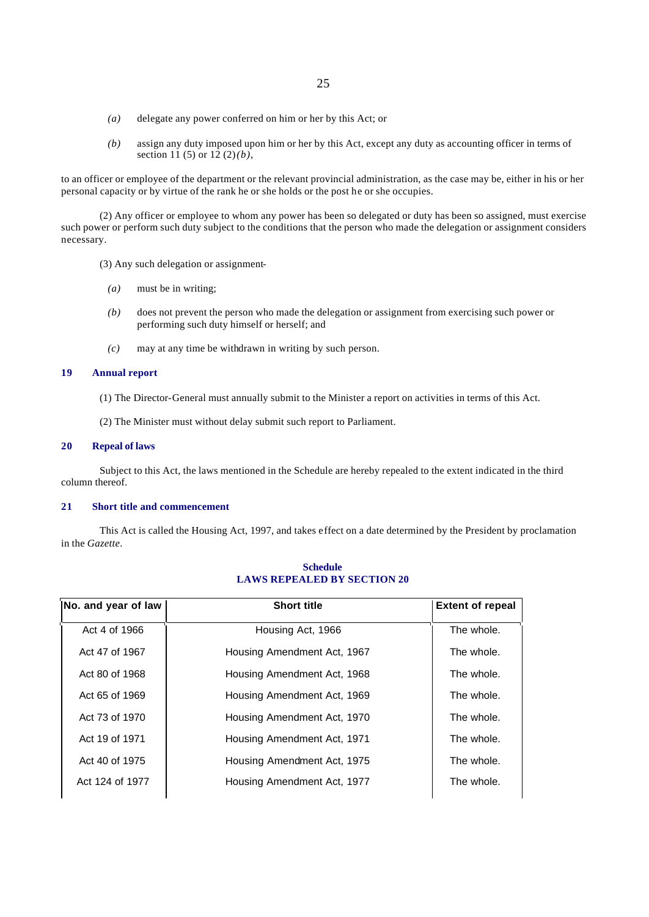- *(a)* delegate any power conferred on him or her by this Act; or
- *(b)* assign any duty imposed upon him or her by this Act, except any duty as accounting officer in terms of section 11 (5) or 12 (2) *(b)*,

to an officer or employee of the department or the relevant provincial administration, as the case may be, either in his or her personal capacity or by virtue of the rank he or she holds or the post he or she occupies.

(2) Any officer or employee to whom any power has been so delegated or duty has been so assigned, must exercise such power or perform such duty subject to the conditions that the person who made the delegation or assignment considers necessary.

(3) Any such delegation or assignment-

- *(a)* must be in writing;
- *(b)* does not prevent the person who made the delegation or assignment from exercising such power or performing such duty himself or herself; and
- *(c)* may at any time be withdrawn in writing by such person.

#### **19 Annual report**

- (1) The Director-General must annually submit to the Minister a report on activities in terms of this Act.
- (2) The Minister must without delay submit such report to Parliament.

#### **20 Repeal of laws**

Subject to this Act, the laws mentioned in the Schedule are hereby repealed to the extent indicated in the third column thereof.

#### **21 Short title and commencement**

This Act is called the Housing Act, 1997, and takes effect on a date determined by the President by proclamation in the *Gazette*.

| No. and year of law | <b>Short title</b>          | <b>Extent of repeal</b> |
|---------------------|-----------------------------|-------------------------|
| Act 4 of 1966       | Housing Act, 1966           | The whole.              |
| Act 47 of 1967      | Housing Amendment Act, 1967 | The whole.              |
| Act 80 of 1968      | Housing Amendment Act, 1968 | The whole.              |
| Act 65 of 1969      | Housing Amendment Act, 1969 | The whole.              |
| Act 73 of 1970      | Housing Amendment Act, 1970 | The whole.              |
| Act 19 of 1971      | Housing Amendment Act, 1971 | The whole.              |
| Act 40 of 1975      | Housing Amendment Act, 1975 | The whole.              |
| Act 124 of 1977     | Housing Amendment Act, 1977 | The whole.              |

## **Schedule LAWS REPEALED BY SECTION 20**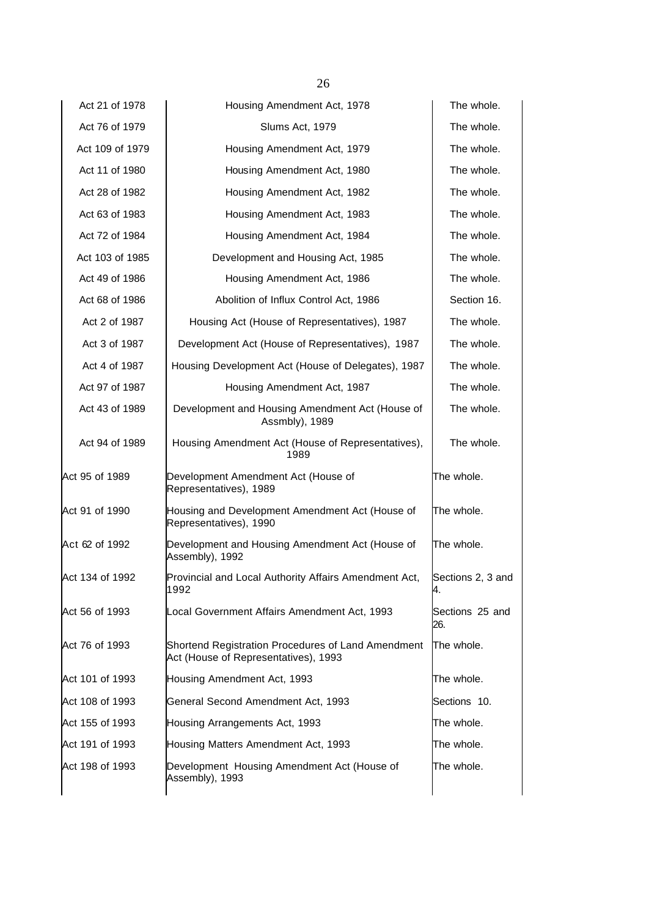| Act 21 of 1978  | Housing Amendment Act, 1978                                                                | The whole.              |
|-----------------|--------------------------------------------------------------------------------------------|-------------------------|
| Act 76 of 1979  | Slums Act, 1979                                                                            | The whole.              |
| Act 109 of 1979 | Housing Amendment Act, 1979                                                                | The whole.              |
| Act 11 of 1980  | Housing Amendment Act, 1980                                                                | The whole.              |
| Act 28 of 1982  | Housing Amendment Act, 1982                                                                | The whole.              |
| Act 63 of 1983  | Housing Amendment Act, 1983                                                                | The whole.              |
| Act 72 of 1984  | Housing Amendment Act, 1984                                                                | The whole.              |
| Act 103 of 1985 | Development and Housing Act, 1985                                                          | The whole.              |
| Act 49 of 1986  | Housing Amendment Act, 1986                                                                | The whole.              |
| Act 68 of 1986  | Abolition of Influx Control Act, 1986                                                      | Section 16.             |
| Act 2 of 1987   | Housing Act (House of Representatives), 1987                                               | The whole.              |
| Act 3 of 1987   | Development Act (House of Representatives), 1987                                           | The whole.              |
| Act 4 of 1987   | Housing Development Act (House of Delegates), 1987                                         | The whole.              |
| Act 97 of 1987  | Housing Amendment Act, 1987                                                                | The whole.              |
| Act 43 of 1989  | Development and Housing Amendment Act (House of<br>Assmbly), 1989                          | The whole.              |
| Act 94 of 1989  | Housing Amendment Act (House of Representatives),<br>1989                                  | The whole.              |
| Act 95 of 1989  | Development Amendment Act (House of<br>Representatives), 1989                              | The whole.              |
| Act 91 of 1990  | Housing and Development Amendment Act (House of<br>Representatives), 1990                  | The whole.              |
| Act 62 of 1992  | Development and Housing Amendment Act (House of<br>Assembly), 1992                         | The whole.              |
| Act 134 of 1992 | Provincial and Local Authority Affairs Amendment Act,<br>1992                              | Sections 2, 3 and<br>4. |
| Act 56 of 1993  | Local Government Affairs Amendment Act, 1993                                               | Sections 25 and<br>26.  |
| Act 76 of 1993  | Shortend Registration Procedures of Land Amendment<br>Act (House of Representatives), 1993 | The whole.              |
| Act 101 of 1993 | Housing Amendment Act, 1993                                                                | The whole.              |
| Act 108 of 1993 | General Second Amendment Act, 1993                                                         | Sections 10.            |
| Act 155 of 1993 | Housing Arrangements Act, 1993                                                             | The whole.              |
| Act 191 of 1993 | Housing Matters Amendment Act, 1993                                                        | The whole.              |
| Act 198 of 1993 | Development Housing Amendment Act (House of<br>Assembly), 1993                             | The whole.              |
|                 |                                                                                            |                         |